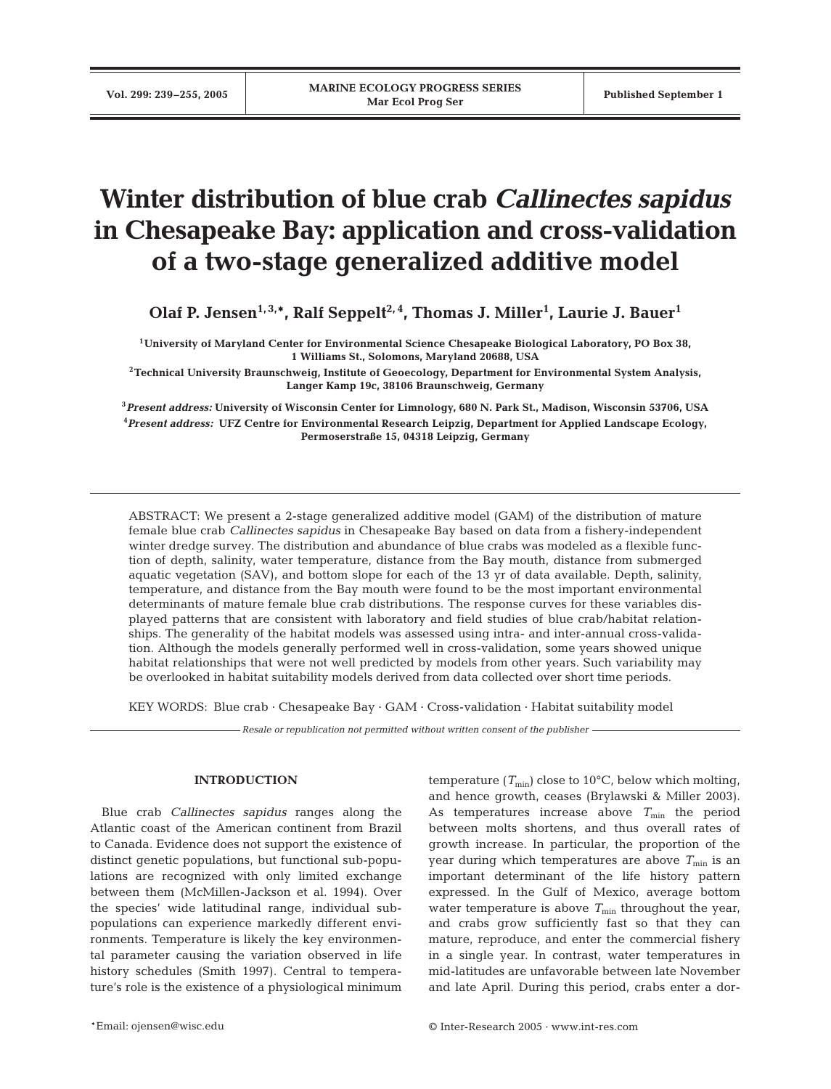# **Winter distribution of blue crab** *Callinectes sapidus* **in Chesapeake Bay: application and cross-validation of a two-stage generalized additive model**

Olaf P. Jensen<sup>1,3,\*</sup>, Ralf Seppelt<sup>2,4</sup>, Thomas J. Miller<sup>1</sup>, Laurie J. Bauer<sup>1</sup>

**1University of Maryland Center for Environmental Science Chesapeake Biological Laboratory, PO Box 38, 1 Williams St., Solomons, Maryland 20688, USA**

**2Technical University Braunschweig, Institute of Geoecology, Department for Environmental System Analysis, Langer Kamp 19c, 38106 Braunschweig, Germany**

**<sup>3</sup>***Present address:* **University of Wisconsin Center for Limnology, 680 N. Park St., Madison, Wisconsin 53706, USA 4** *Present address:* **UFZ Centre for Environmental Research Leipzig, Department for Applied Landscape Ecology, Permoserstraße 15, 04318 Leipzig, Germany**

ABSTRACT: We present a 2-stage generalized additive model (GAM) of the distribution of mature female blue crab *Callinectes sapidus* in Chesapeake Bay based on data from a fishery-independent winter dredge survey. The distribution and abundance of blue crabs was modeled as a flexible function of depth, salinity, water temperature, distance from the Bay mouth, distance from submerged aquatic vegetation (SAV), and bottom slope for each of the 13 yr of data available. Depth, salinity, temperature, and distance from the Bay mouth were found to be the most important environmental determinants of mature female blue crab distributions. The response curves for these variables displayed patterns that are consistent with laboratory and field studies of blue crab/habitat relationships. The generality of the habitat models was assessed using intra- and inter-annual cross-validation. Although the models generally performed well in cross-validation, some years showed unique habitat relationships that were not well predicted by models from other years. Such variability may be overlooked in habitat suitability models derived from data collected over short time periods.

KEY WORDS: Blue crab  $\cdot$  Chesapeake Bay  $\cdot$  GAM  $\cdot$  Cross-validation  $\cdot$  Habitat suitability model

*Resale or republication not permitted without written consent of the publisher*

# **INTRODUCTION**

Blue crab *Callinectes sapidus* ranges along the Atlantic coast of the American continent from Brazil to Canada. Evidence does not support the existence of distinct genetic populations, but functional sub-populations are recognized with only limited exchange between them (McMillen-Jackson et al. 1994). Over the species' wide latitudinal range, individual subpopulations can experience markedly different environments. Temperature is likely the key environmental parameter causing the variation observed in life history schedules (Smith 1997). Central to temperature's role is the existence of a physiological minimum temperature  $(T_{\text{min}})$  close to 10<sup>o</sup>C, below which molting, and hence growth, ceases (Brylawski & Miller 2003). As temperatures increase above  $T_{\text{min}}$  the period between molts shortens, and thus overall rates of growth increase. In particular, the proportion of the year during which temperatures are above  $T_{\text{min}}$  is an important determinant of the life history pattern expressed. In the Gulf of Mexico, average bottom water temperature is above  $T_{\text{min}}$  throughout the year, and crabs grow sufficiently fast so that they can mature, reproduce, and enter the commercial fishery in a single year. In contrast, water temperatures in mid-latitudes are unfavorable between late November and late April. During this period, crabs enter a dor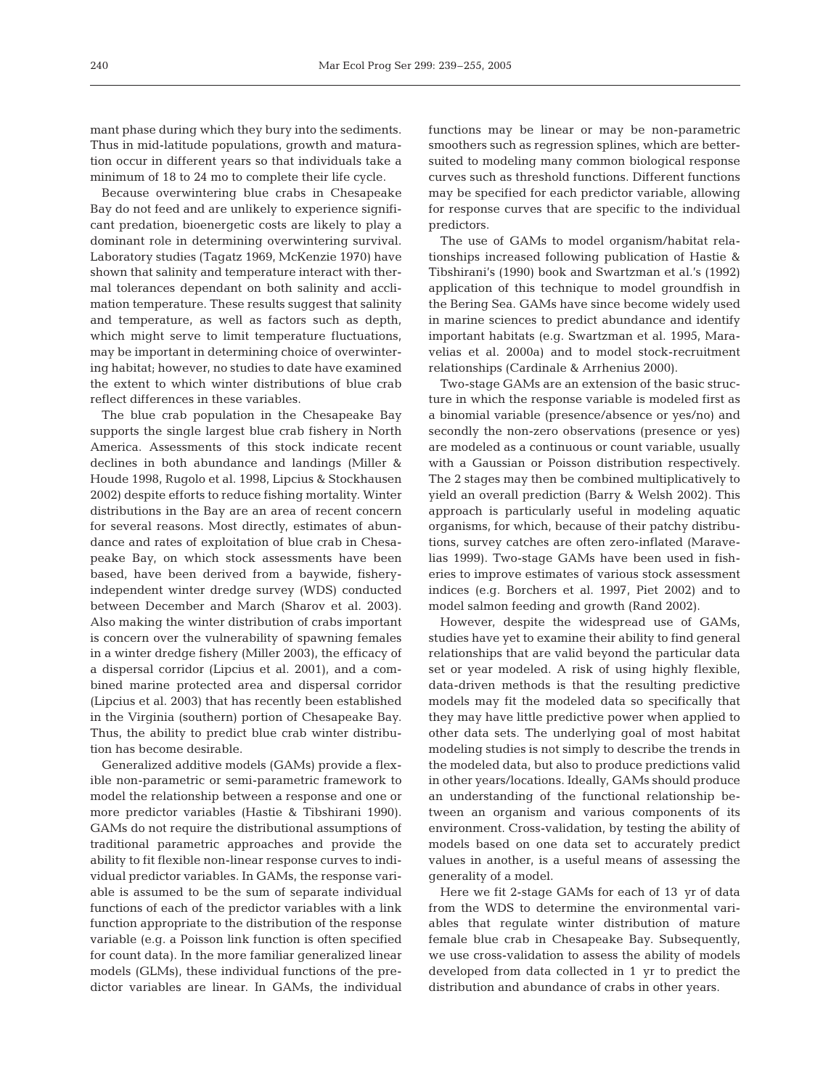mant phase during which they bury into the sediments. Thus in mid-latitude populations, growth and maturation occur in different years so that individuals take a minimum of 18 to 24 mo to complete their life cycle.

Because overwintering blue crabs in Chesapeake Bay do not feed and are unlikely to experience significant predation, bioenergetic costs are likely to play a dominant role in determining overwintering survival. Laboratory studies (Tagatz 1969, McKenzie 1970) have shown that salinity and temperature interact with thermal tolerances dependant on both salinity and acclimation temperature. These results suggest that salinity and temperature, as well as factors such as depth, which might serve to limit temperature fluctuations, may be important in determining choice of overwintering habitat; however, no studies to date have examined the extent to which winter distributions of blue crab reflect differences in these variables.

The blue crab population in the Chesapeake Bay supports the single largest blue crab fishery in North America. Assessments of this stock indicate recent declines in both abundance and landings (Miller & Houde 1998, Rugolo et al. 1998, Lipcius & Stockhausen 2002) despite efforts to reduce fishing mortality. Winter distributions in the Bay are an area of recent concern for several reasons. Most directly, estimates of abundance and rates of exploitation of blue crab in Chesapeake Bay, on which stock assessments have been based, have been derived from a baywide, fisheryindependent winter dredge survey (WDS) conducted between December and March (Sharov et al. 2003). Also making the winter distribution of crabs important is concern over the vulnerability of spawning females in a winter dredge fishery (Miller 2003), the efficacy of a dispersal corridor (Lipcius et al. 2001), and a combined marine protected area and dispersal corridor (Lipcius et al. 2003) that has recently been established in the Virginia (southern) portion of Chesapeake Bay. Thus, the ability to predict blue crab winter distribution has become desirable.

Generalized additive models (GAMs) provide a flexible non-parametric or semi-parametric framework to model the relationship between a response and one or more predictor variables (Hastie & Tibshirani 1990). GAMs do not require the distributional assumptions of traditional parametric approaches and provide the ability to fit flexible non-linear response curves to individual predictor variables. In GAMs, the response variable is assumed to be the sum of separate individual functions of each of the predictor variables with a link function appropriate to the distribution of the response variable (e.g. a Poisson link function is often specified for count data). In the more familiar generalized linear models (GLMs), these individual functions of the predictor variables are linear. In GAMs, the individual

functions may be linear or may be non-parametric smoothers such as regression splines, which are bettersuited to modeling many common biological response curves such as threshold functions. Different functions may be specified for each predictor variable, allowing for response curves that are specific to the individual predictors.

The use of GAMs to model organism/habitat relationships increased following publication of Hastie & Tibshirani's (1990) book and Swartzman et al.'s (1992) application of this technique to model groundfish in the Bering Sea. GAMs have since become widely used in marine sciences to predict abundance and identify important habitats (e.g. Swartzman et al. 1995, Maravelias et al. 2000a) and to model stock-recruitment relationships (Cardinale & Arrhenius 2000).

Two-stage GAMs are an extension of the basic structure in which the response variable is modeled first as a binomial variable (presence/absence or yes/no) and secondly the non-zero observations (presence or yes) are modeled as a continuous or count variable, usually with a Gaussian or Poisson distribution respectively. The 2 stages may then be combined multiplicatively to yield an overall prediction (Barry & Welsh 2002). This approach is particularly useful in modeling aquatic organisms, for which, because of their patchy distributions, survey catches are often zero-inflated (Maravelias 1999). Two-stage GAMs have been used in fisheries to improve estimates of various stock assessment indices (e.g. Borchers et al. 1997, Piet 2002) and to model salmon feeding and growth (Rand 2002).

However, despite the widespread use of GAMs, studies have yet to examine their ability to find general relationships that are valid beyond the particular data set or year modeled. A risk of using highly flexible, data-driven methods is that the resulting predictive models may fit the modeled data so specifically that they may have little predictive power when applied to other data sets. The underlying goal of most habitat modeling studies is not simply to describe the trends in the modeled data, but also to produce predictions valid in other years/locations. Ideally, GAMs should produce an understanding of the functional relationship between an organism and various components of its environment. Cross-validation, by testing the ability of models based on one data set to accurately predict values in another, is a useful means of assessing the generality of a model.

Here we fit 2-stage GAMs for each of 13 yr of data from the WDS to determine the environmental variables that regulate winter distribution of mature female blue crab in Chesapeake Bay. Subsequently, we use cross-validation to assess the ability of models developed from data collected in 1 yr to predict the distribution and abundance of crabs in other years.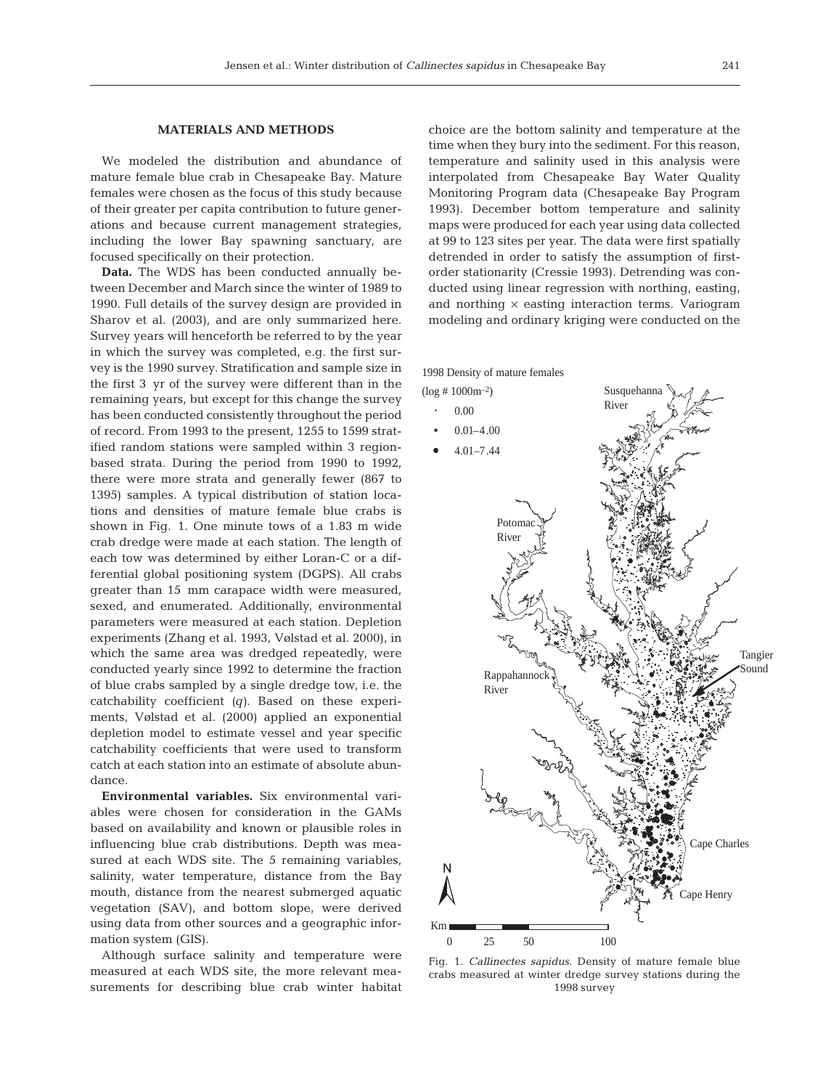## **MATERIALS AND METHODS**

We modeled the distribution and abundance of mature female blue crab in Chesapeake Bay. Mature females were chosen as the focus of this study because of their greater per capita contribution to future generations and because current management strategies, including the lower Bay spawning sanctuary, are focused specifically on their protection.

**Data.** The WDS has been conducted annually between December and March since the winter of 1989 to 1990. Full details of the survey design are provided in Sharov et al. (2003), and are only summarized here. Survey years will henceforth be referred to by the year in which the survey was completed, e.g. the first survey is the 1990 survey. Stratification and sample size in the first 3 yr of the survey were different than in the remaining years, but except for this change the survey has been conducted consistently throughout the period of record. From 1993 to the present, 1255 to 1599 stratified random stations were sampled within 3 regionbased strata. During the period from 1990 to 1992, there were more strata and generally fewer (867 to 1395) samples. A typical distribution of station locations and densities of mature female blue crabs is shown in Fig. 1. One minute tows of a 1.83 m wide crab dredge were made at each station. The length of each tow was determined by either Loran-C or a differential global positioning system (DGPS). All crabs greater than 15 mm carapace width were measured, sexed, and enumerated. Additionally, environmental parameters were measured at each station. Depletion experiments (Zhang et al. 1993, Vølstad et al. 2000), in which the same area was dredged repeatedly, were conducted yearly since 1992 to determine the fraction of blue crabs sampled by a single dredge tow, i.e. the catchability coefficient *(q)*. Based on these experiments, Vølstad et al. (2000) applied an exponential depletion model to estimate vessel and year specific catchability coefficients that were used to transform catch at each station into an estimate of absolute abundance.

**Environmental variables.** Six environmental variables were chosen for consideration in the GAMs based on availability and known or plausible roles in influencing blue crab distributions. Depth was measured at each WDS site. The 5 remaining variables, salinity, water temperature, distance from the Bay mouth, distance from the nearest submerged aquatic vegetation (SAV), and bottom slope, were derived using data from other sources and a geographic information system (GIS).

Although surface salinity and temperature were measured at each WDS site, the more relevant measurements for describing blue crab winter habitat choice are the bottom salinity and temperature at the time when they bury into the sediment. For this reason, temperature and salinity used in this analysis were interpolated from Chesapeake Bay Water Quality Monitoring Program data (Chesapeake Bay Program 1993). December bottom temperature and salinity maps were produced for each year using data collected at 99 to 123 sites per year. The data were first spatially detrended in order to satisfy the assumption of firstorder stationarity (Cressie 1993). Detrending was conducted using linear regression with northing, easting, and northing  $\times$  easting interaction terms. Variogram modeling and ordinary kriging were conducted on the



Fig. 1. *Callinectes sapidus*. Density of mature female blue crabs measured at winter dredge survey stations during the 1998 survey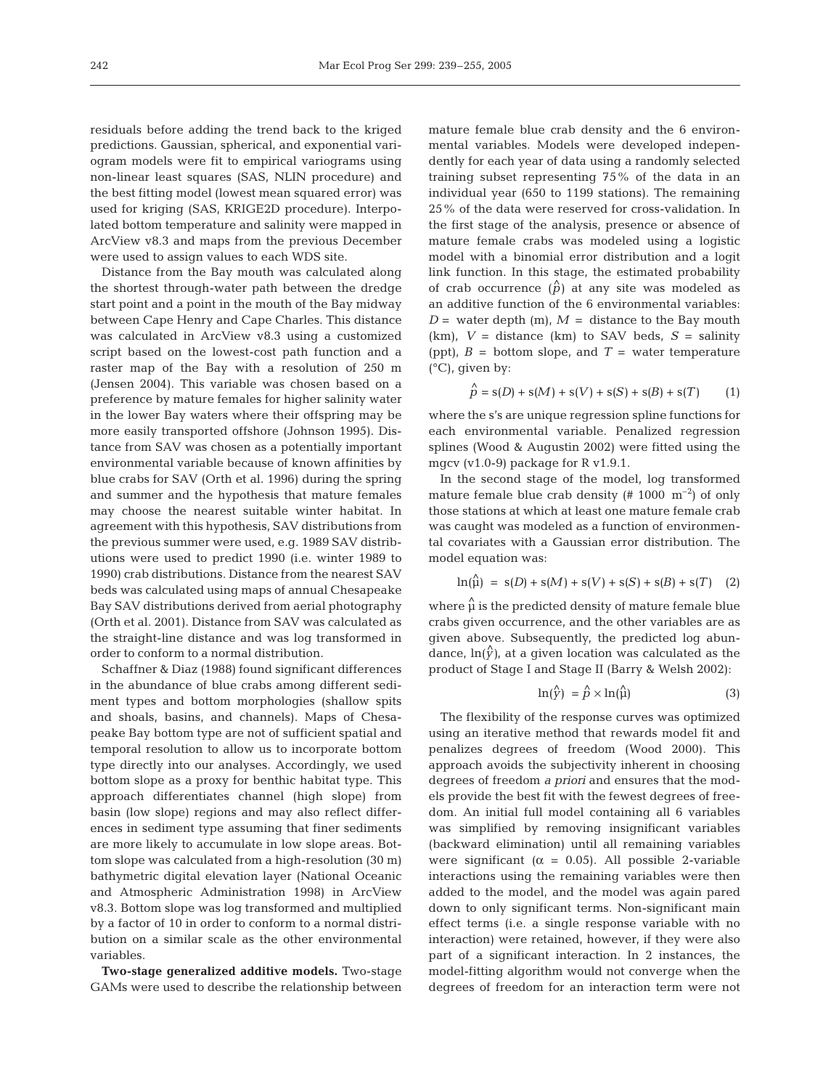residuals before adding the trend back to the kriged predictions. Gaussian, spherical, and exponential variogram models were fit to empirical variograms using non-linear least squares (SAS, NLIN procedure) and the best fitting model (lowest mean squared error) was used for kriging (SAS, KRIGE2D procedure). Interpolated bottom temperature and salinity were mapped in ArcView v8.3 and maps from the previous December were used to assign values to each WDS site.

Distance from the Bay mouth was calculated along the shortest through-water path between the dredge start point and a point in the mouth of the Bay midway between Cape Henry and Cape Charles. This distance was calculated in ArcView v8.3 using a customized script based on the lowest-cost path function and a raster map of the Bay with a resolution of 250 m (Jensen 2004). This variable was chosen based on a preference by mature females for higher salinity water in the lower Bay waters where their offspring may be more easily transported offshore (Johnson 1995). Distance from SAV was chosen as a potentially important environmental variable because of known affinities by blue crabs for SAV (Orth et al. 1996) during the spring and summer and the hypothesis that mature females may choose the nearest suitable winter habitat. In agreement with this hypothesis, SAV distributions from the previous summer were used, e.g. 1989 SAV distributions were used to predict 1990 (i.e. winter 1989 to 1990) crab distributions. Distance from the nearest SAV beds was calculated using maps of annual Chesapeake Bay SAV distributions derived from aerial photography (Orth et al. 2001). Distance from SAV was calculated as the straight-line distance and was log transformed in order to conform to a normal distribution.

Schaffner & Diaz (1988) found significant differences in the abundance of blue crabs among different sediment types and bottom morphologies (shallow spits and shoals, basins, and channels). Maps of Chesapeake Bay bottom type are not of sufficient spatial and temporal resolution to allow us to incorporate bottom type directly into our analyses. Accordingly, we used bottom slope as a proxy for benthic habitat type. This approach differentiates channel (high slope) from basin (low slope) regions and may also reflect differences in sediment type assuming that finer sediments are more likely to accumulate in low slope areas. Bottom slope was calculated from a high-resolution (30 m) bathymetric digital elevation layer (National Oceanic and Atmospheric Administration 1998) in ArcView v8.3. Bottom slope was log transformed and multiplied by a factor of 10 in order to conform to a normal distribution on a similar scale as the other environmental variables.

**Two-stage generalized additive models.** Two-stage GAMs were used to describe the relationship between

mature female blue crab density and the 6 environmental variables. Models were developed independently for each year of data using a randomly selected training subset representing 75% of the data in an individual year (650 to 1199 stations). The remaining 25% of the data were reserved for cross-validation. In the first stage of the analysis, presence or absence of mature female crabs was modeled using a logistic model with a binomial error distribution and a logit link function. In this stage, the estimated probability of crab occurrence  $(\hat{p})$  at any site was modeled as an additive function of the 6 environmental variables:  $D =$  water depth (m),  $M =$  distance to the Bay mouth  $(km)$ ,  $V =$  distance  $(km)$  to SAV beds,  $S =$  salinity (ppt),  $B =$  bottom slope, and  $T =$  water temperature  $(^{\circ}C)$ , given by:

$$
\hat{p} = s(D) + s(M) + s(V) + s(S) + s(B) + s(T)
$$
 (1)

where the s's are unique regression spline functions for each environmental variable. Penalized regression splines (Wood & Augustin 2002) were fitted using the mgcv (v1.0-9) package for R v1.9.1.

In the second stage of the model, log transformed mature female blue crab density  $(\# 1000 \text{ m}^{-2})$  of only those stations at which at least one mature female crab was caught was modeled as a function of environmental covariates with a Gaussian error distribution. The model equation was:

$$
\ln(\stackrel{\wedge}{\mu}) = s(D) + s(M) + s(V) + s(S) + s(B) + s(T) \quad (2)
$$

where  $\hat{\mu}$  is the predicted density of mature female blue crabs given occurrence, and the other variables are as given above. Subsequently, the predicted log abundance,  $\ln(\hat{y})$ , at a given location was calculated as the product of Stage I and Stage II (Barry & Welsh 2002):

$$
\ln(\hat{y}) = \hat{p} \times \ln(\hat{\mu}) \tag{3}
$$

The flexibility of the response curves was optimized using an iterative method that rewards model fit and penalizes degrees of freedom (Wood 2000). This approach avoids the subjectivity inherent in choosing degrees of freedom *a priori* and ensures that the models provide the best fit with the fewest degrees of freedom. An initial full model containing all 6 variables was simplified by removing insignificant variables (backward elimination) until all remaining variables were significant ( $\alpha = 0.05$ ). All possible 2-variable interactions using the remaining variables were then added to the model, and the model was again pared down to only significant terms. Non-significant main effect terms (i.e. a single response variable with no interaction) were retained, however, if they were also part of a significant interaction. In 2 instances, the model-fitting algorithm would not converge when the degrees of freedom for an interaction term were not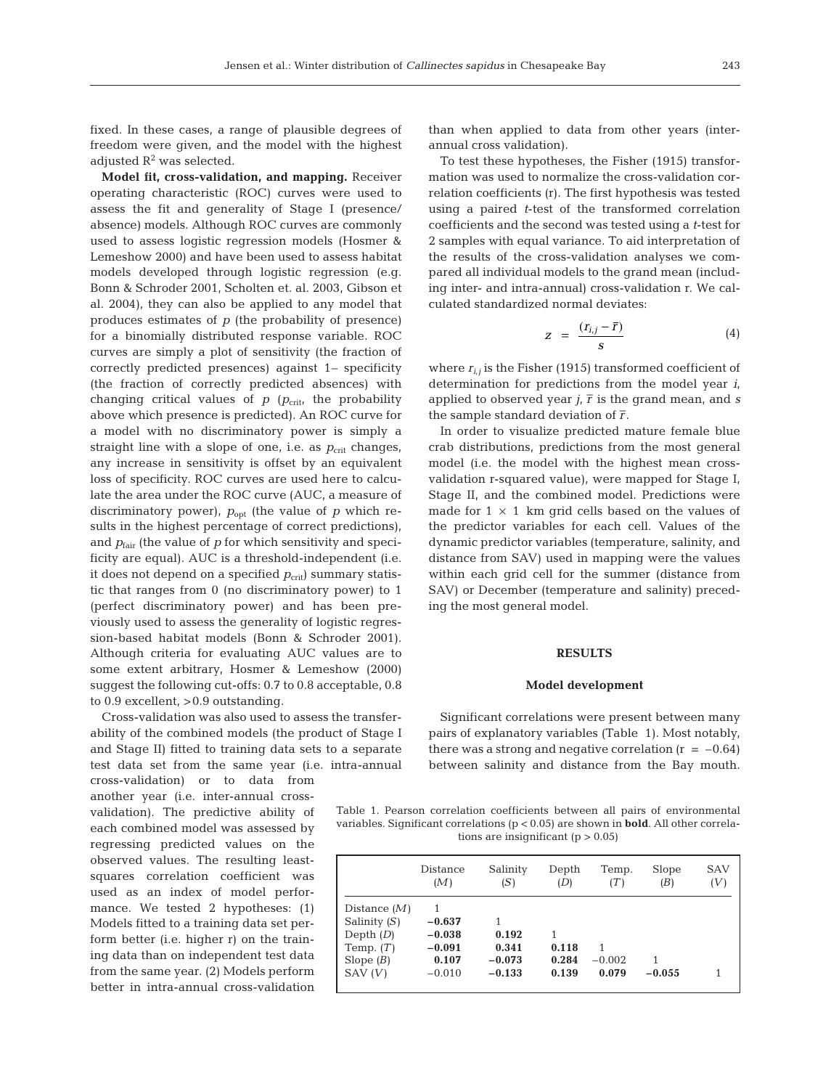fixed. In these cases, a range of plausible degrees of freedom were given, and the model with the highest adjusted  $R^2$  was selected.

**Model fit, cross-validation, and mapping.** Receiver operating characteristic (ROC) curves were used to assess the fit and generality of Stage I (presence/ absence) models. Although ROC curves are commonly used to assess logistic regression models (Hosmer & Lemeshow 2000) and have been used to assess habitat models developed through logistic regression (e.g. Bonn & Schroder 2001, Scholten et. al. 2003, Gibson et al. 2004), they can also be applied to any model that produces estimates of *p* (the probability of presence) for a binomially distributed response variable. ROC curves are simply a plot of sensitivity (the fraction of correctly predicted presences) against 1– specificity (the fraction of correctly predicted absences) with changing critical values of  $p$  ( $p_{\text{crit}}$ , the probability above which presence is predicted). An ROC curve for a model with no discriminatory power is simply a straight line with a slope of one, i.e. as  $p_{\text{crit}}$  changes, any increase in sensitivity is offset by an equivalent loss of specificity. ROC curves are used here to calculate the area under the ROC curve (AUC, a measure of discriminatory power),  $p_{opt}$  (the value of  $p$  which results in the highest percentage of correct predictions), and  $p_{\text{fair}}$  (the value of  $p$  for which sensitivity and specificity are equal). AUC is a threshold-independent (i.e. it does not depend on a specified  $p_{\text{crit}}$  summary statistic that ranges from 0 (no discriminatory power) to 1 (perfect discriminatory power) and has been previously used to assess the generality of logistic regression-based habitat models (Bonn & Schroder 2001). Although criteria for evaluating AUC values are to some extent arbitrary, Hosmer & Lemeshow (2000) suggest the following cut-offs: 0.7 to 0.8 acceptable, 0.8 to 0.9 excellent, >0.9 outstanding.

Cross-validation was also used to assess the transferability of the combined models (the product of Stage I and Stage II) fitted to training data sets to a separate test data set from the same year (i.e. intra-annual

cross-validation) or to data from another year (i.e. inter-annual crossvalidation). The predictive ability of each combined model was assessed by regressing predicted values on the observed values. The resulting leastsquares correlation coefficient was used as an index of model performance. We tested 2 hypotheses: (1) Models fitted to a training data set perform better (i.e. higher r) on the training data than on independent test data from the same year. (2) Models perform better in intra-annual cross-validation than when applied to data from other years (interannual cross validation).

To test these hypotheses, the Fisher (1915) transformation was used to normalize the cross-validation correlation coefficients (r). The first hypothesis was tested using a paired *t*-test of the transformed correlation coefficients and the second was tested using a *t*-test for 2 samples with equal variance. To aid interpretation of the results of the cross-validation analyses we compared all individual models to the grand mean (including inter- and intra-annual) cross-validation r. We calculated standardized normal deviates:

$$
z = \frac{(r_{i,j} - \bar{r})}{s} \tag{4}
$$

where  $r_{i,j}$  is the Fisher (1915) transformed coefficient of determination for predictions from the model year *i*, applied to observed year  $j$ ,  $\overline{r}$  is the grand mean, and *s* the sample standard deviation of  $\overline{r}$ .

In order to visualize predicted mature female blue crab distributions, predictions from the most general model (i.e. the model with the highest mean crossvalidation r-squared value), were mapped for Stage I, Stage II, and the combined model. Predictions were made for  $1 \times 1$  km grid cells based on the values of the predictor variables for each cell. Values of the dynamic predictor variables (temperature, salinity, and distance from SAV) used in mapping were the values within each grid cell for the summer (distance from SAV) or December (temperature and salinity) preceding the most general model.

### **RESULTS**

#### **Model development**

Significant correlations were present between many pairs of explanatory variables (Table 1). Most notably, there was a strong and negative correlation  $(r = -0.64)$ between salinity and distance from the Bay mouth.

Table 1. Pearson correlation coefficients between all pairs of environmental variables. Significant correlations (p < 0.05) are shown in **bold**. All other correlations are insignificant  $(p > 0.05)$ 

|                                                                                         | <b>Distance</b>                                       | Salinity                                    | Depth                        | Temp.                  | Slope         | <b>SAV</b> |
|-----------------------------------------------------------------------------------------|-------------------------------------------------------|---------------------------------------------|------------------------------|------------------------|---------------|------------|
|                                                                                         | (M)                                                   | (S)                                         | (D)                          | (T)                    | (B)           | (V)        |
| Distance $(M)$<br>Salinity $(S)$<br>Depth $(D)$<br>Temp. $(T)$<br>Slope $(B)$<br>SAV(V) | $-0.637$<br>$-0.038$<br>$-0.091$<br>0.107<br>$-0.010$ | 1<br>0.192<br>0.341<br>$-0.073$<br>$-0.133$ | 1<br>0.118<br>0.284<br>0.139 | 1<br>$-0.002$<br>0.079 | 1<br>$-0.055$ |            |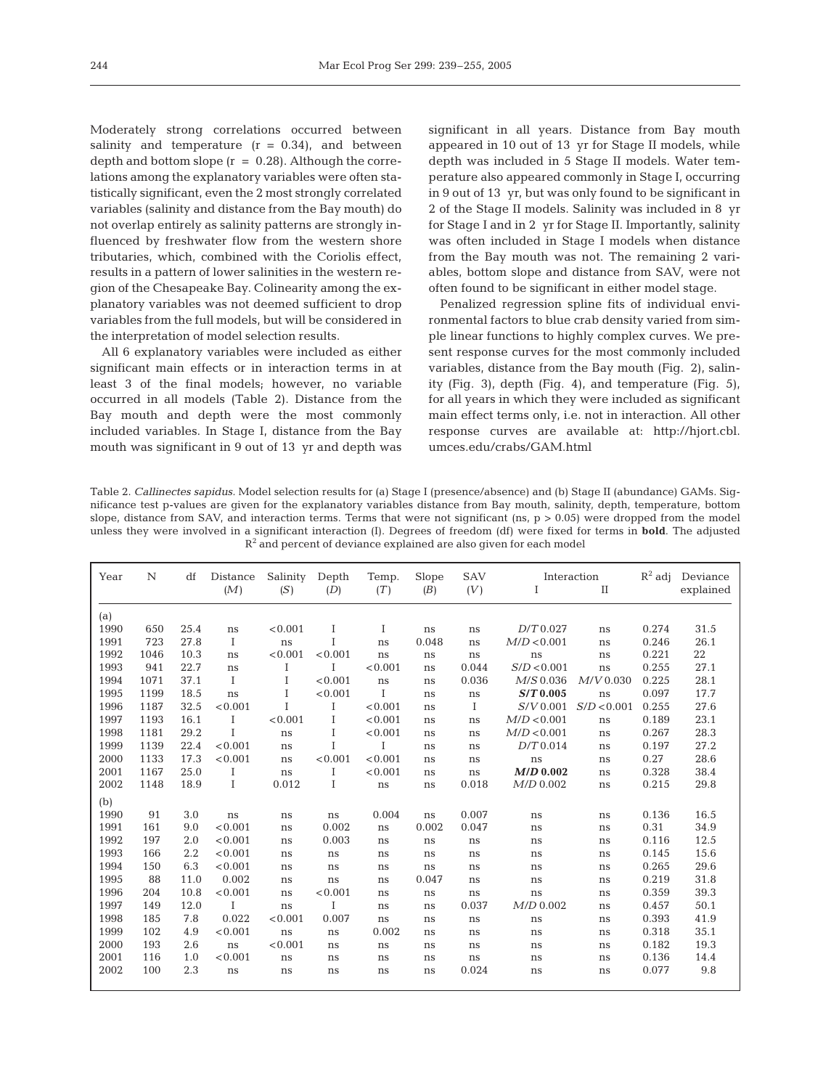Moderately strong correlations occurred between salinity and temperature  $(r = 0.34)$ , and between depth and bottom slope  $(r = 0.28)$ . Although the correlations among the explanatory variables were often statistically significant, even the 2 most strongly correlated variables (salinity and distance from the Bay mouth) do not overlap entirely as salinity patterns are strongly influenced by freshwater flow from the western shore tributaries, which, combined with the Coriolis effect, results in a pattern of lower salinities in the western region of the Chesapeake Bay. Colinearity among the explanatory variables was not deemed sufficient to drop variables from the full models, but will be considered in the interpretation of model selection results.

All 6 explanatory variables were included as either significant main effects or in interaction terms in at least 3 of the final models; however, no variable occurred in all models (Table 2). Distance from the Bay mouth and depth were the most commonly included variables. In Stage I, distance from the Bay mouth was significant in 9 out of 13 yr and depth was

significant in all years. Distance from Bay mouth appeared in 10 out of 13 yr for Stage II models, while depth was included in 5 Stage II models. Water temperature also appeared commonly in Stage I, occurring in 9 out of 13 yr, but was only found to be significant in 2 of the Stage II models. Salinity was included in 8 yr for Stage I and in 2 yr for Stage II. Importantly, salinity was often included in Stage I models when distance from the Bay mouth was not. The remaining 2 variables, bottom slope and distance from SAV, were not often found to be significant in either model stage.

Penalized regression spline fits of individual environmental factors to blue crab density varied from simple linear functions to highly complex curves. We present response curves for the most commonly included variables, distance from the Bay mouth (Fig. 2), salinity (Fig. 3), depth (Fig. 4), and temperature (Fig. 5), for all years in which they were included as significant main effect terms only, i.e. not in interaction. All other response curves are available at: http://hjort.cbl. umces.edu/crabs/GAM.html

Table 2. *Callinectes sapidus.* Model selection results for (a) Stage I (presence/absence) and (b) Stage II (abundance) GAMs. Significance test p-values are given for the explanatory variables distance from Bay mouth, salinity, depth, temperature, bottom slope, distance from SAV, and interaction terms. Terms that were not significant (ns,  $p > 0.05$ ) were dropped from the model unless they were involved in a significant interaction (I). Degrees of freedom (df) were fixed for terms in **bold**. The adjusted  $R<sup>2</sup>$  and percent of deviance explained are also given for each model

| Year | N    | df   | Distance     | Salinity | Depth   | Temp.   | Slope | <b>SAV</b> | Interaction |             | $R^2$ adj | Deviance  |
|------|------|------|--------------|----------|---------|---------|-------|------------|-------------|-------------|-----------|-----------|
|      |      |      | (M)          | (S)      | (D)     | (T)     | (B)   | (V)        | I           | $_{\rm II}$ |           | explained |
|      |      |      |              |          |         |         |       |            |             |             |           |           |
| (a)  |      |      |              |          |         |         |       |            |             |             |           |           |
| 1990 | 650  | 25.4 | ns           | < 0.001  | Ι       | Ι       | ns    | ns         | $D/T$ 0.027 | ns          | 0.274     | 31.5      |
| 1991 | 723  | 27.8 | Ι            | ns       | Ι       | ns      | 0.048 | ns         | M/D < 0.001 | ns          | 0.246     | 26.1      |
| 1992 | 1046 | 10.3 | ns           | < 0.001  | < 0.001 | ns      | ns    | ns         | ns          | ns          | 0.221     | 22        |
| 1993 | 941  | 22.7 | ns           | Ι        | T       | < 0.001 | ns    | 0.044      | S/D < 0.001 | ns          | 0.255     | 27.1      |
| 1994 | 1071 | 37.1 | $\mathbf{I}$ | I        | < 0.001 | ns      | ns    | 0.036      | $M/S$ 0.036 | $M/V$ 0.030 | 0.225     | 28.1      |
| 1995 | 1199 | 18.5 | ns           | I        | < 0.001 | T       | ns    | $\rm ns$   | $S/T$ 0.005 | ns          | 0.097     | 17.7      |
| 1996 | 1187 | 32.5 | < 0.001      | T        | T       | < 0.001 | ns    | Ι          | $S/V$ 0.001 | S/D < 0.001 | 0.255     | 27.6      |
| 1997 | 1193 | 16.1 | T            | < 0.001  | I       | < 0.001 | ns    | ns         | M/D < 0.001 | ns          | 0.189     | 23.1      |
| 1998 | 1181 | 29.2 | T            | ns       | Ι       | < 0.001 | ns    | ns         | M/D < 0.001 | ns          | 0.267     | 28.3      |
| 1999 | 1139 | 22.4 | < 0.001      | ns       | T       | Ι       | ns    | ns         | $D/T$ 0.014 | ns          | 0.197     | 27.2      |
| 2000 | 1133 | 17.3 | < 0.001      | ns       | < 0.001 | < 0.001 | ns    | ns         | ns          | ns          | 0.27      | 28.6      |
| 2001 | 1167 | 25.0 | T            | ns       | I       | < 0.001 | ns    | ns         | $M/D$ 0.002 | ns          | 0.328     | 38.4      |
| 2002 | 1148 | 18.9 | Ι            | 0.012    | Ι       | ns      | ns    | 0.018      | $M/D$ 0.002 | ns          | 0.215     | 29.8      |
| (b)  |      |      |              |          |         |         |       |            |             |             |           |           |
| 1990 | 91   | 3.0  | ns           | ns       | ns      | 0.004   | ns    | 0.007      | ns          | ns          | 0.136     | 16.5      |
| 1991 | 161  | 9.0  | < 0.001      | ns       | 0.002   | ns      | 0.002 | 0.047      | ns          | ns          | 0.31      | 34.9      |
| 1992 | 197  | 2.0  | < 0.001      | ns       | 0.003   | ns      | ns    | ns         | ns          | ns          | 0.116     | 12.5      |
| 1993 | 166  | 2.2  | < 0.001      | ns       | ns      | ns      | ns    | ns         | ns          | ns          | 0.145     | 15.6      |
| 1994 | 150  | 6.3  | < 0.001      | ns       | ns      | ns      | ns    | ns         | ns          | ns          | 0.265     | 29.6      |
| 1995 | 88   | 11.0 | 0.002        | ns       | ns      | ns      | 0.047 | ns         | ns          | ns          | 0.219     | 31.8      |
| 1996 | 204  | 10.8 | < 0.001      | ns       | < 0.001 | ns      | ns    | ns         | ns          | ns          | 0.359     | 39.3      |
| 1997 | 149  | 12.0 | Ι            | ns       | Ι       | ns      | ns    | 0.037      | $M/D$ 0.002 | ns          | 0.457     | 50.1      |
| 1998 | 185  | 7.8  | 0.022        | < 0.001  | 0.007   | ns      | ns    | ns         | ns          | ns          | 0.393     | 41.9      |
| 1999 | 102  | 4.9  | < 0.001      | ns       | ns      | 0.002   | ns    | ns         | ns          | ns          | 0.318     | 35.1      |
| 2000 | 193  | 2.6  | ns           | < 0.001  | ns      | ns      | ns    | ns         | ns          | ns          | 0.182     | 19.3      |
| 2001 | 116  | 1.0  | < 0.001      | ns       | ns      | ns      | ns    | ns         | ns          | ns          | 0.136     | 14.4      |
| 2002 | 100  | 2.3  | ns           | ns       | ns      | ns      | ns    | 0.024      | ns          | ns          | 0.077     | 9.8       |
|      |      |      |              |          |         |         |       |            |             |             |           |           |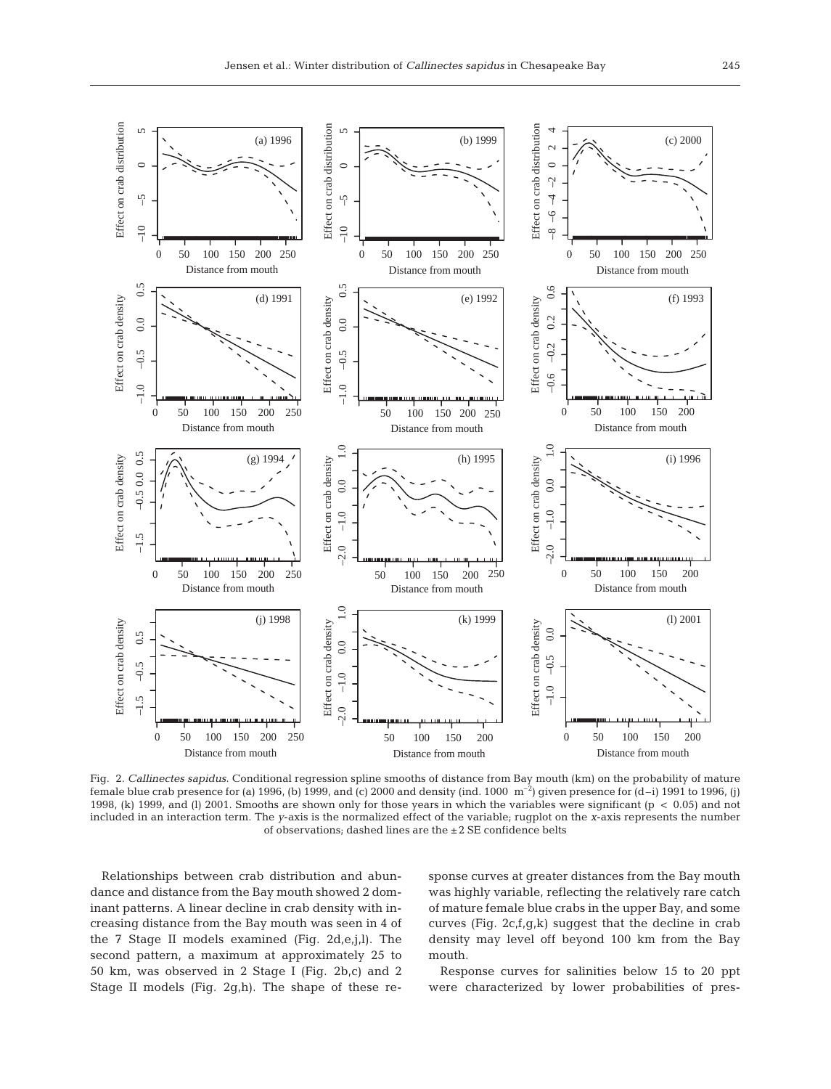

Fig. 2. *Callinectes sapidus*. Conditional regression spline smooths of distance from Bay mouth (km) on the probability of mature female blue crab presence for (a) 1996, (b) 1999, and (c) 2000 and density (ind. 1000  $\rm{m}^{-2}$ ) given presence for (d–i) 1991 to 1996, (j) 1998, (k) 1999, and (l) 2001. Smooths are shown only for those years in which the variables were significant (p < 0.05) and not included in an interaction term. The *y*-axis is the normalized effect of the variable; rugplot on the *x*-axis represents the number of observations; dashed lines are the ±2 SE confidence belts

Relationships between crab distribution and abundance and distance from the Bay mouth showed 2 dominant patterns. A linear decline in crab density with increasing distance from the Bay mouth was seen in 4 of the 7 Stage II models examined (Fig. 2d,e,j,l). The second pattern, a maximum at approximately 25 to 50 km, was observed in 2 Stage I (Fig. 2b,c) and 2 Stage II models (Fig. 2g,h). The shape of these response curves at greater distances from the Bay mouth was highly variable, reflecting the relatively rare catch of mature female blue crabs in the upper Bay, and some curves (Fig. 2c,f,g,k) suggest that the decline in crab density may level off beyond 100 km from the Bay mouth.

Response curves for salinities below 15 to 20 ppt were characterized by lower probabilities of pres-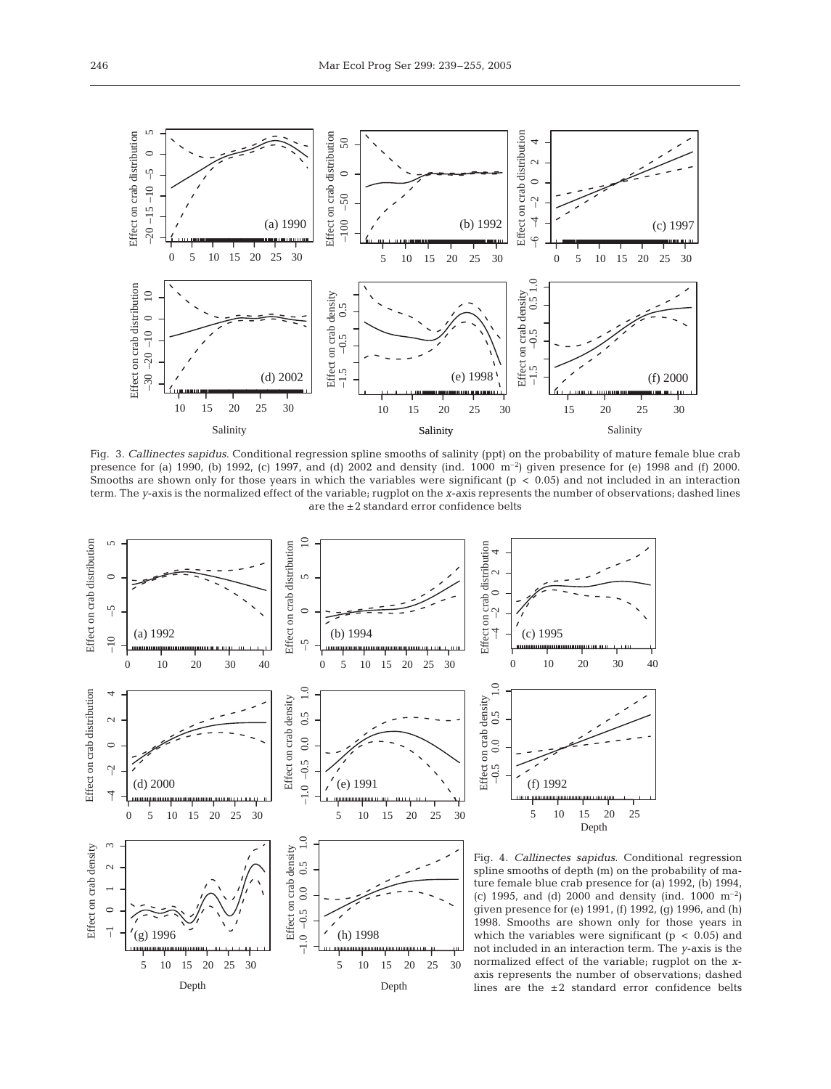

Fig. 3. *Callinectes sapidus*. Conditional regression spline smooths of salinity (ppt) on the probability of mature female blue crab presence for (a) 1990, (b) 1992, (c) 1997, and (d) 2002 and density (ind.  $1000 \text{ m}^{-2}$ ) given presence for (e) 1998 and (f) 2000. Smooths are shown only for those years in which the variables were significant  $(p < 0.05)$  and not included in an interaction term. The *y*-axis is the normalized effect of the variable; rugplot on the *x*-axis represents the number of observations; dashed lines are the ±2 standard error confidence belts

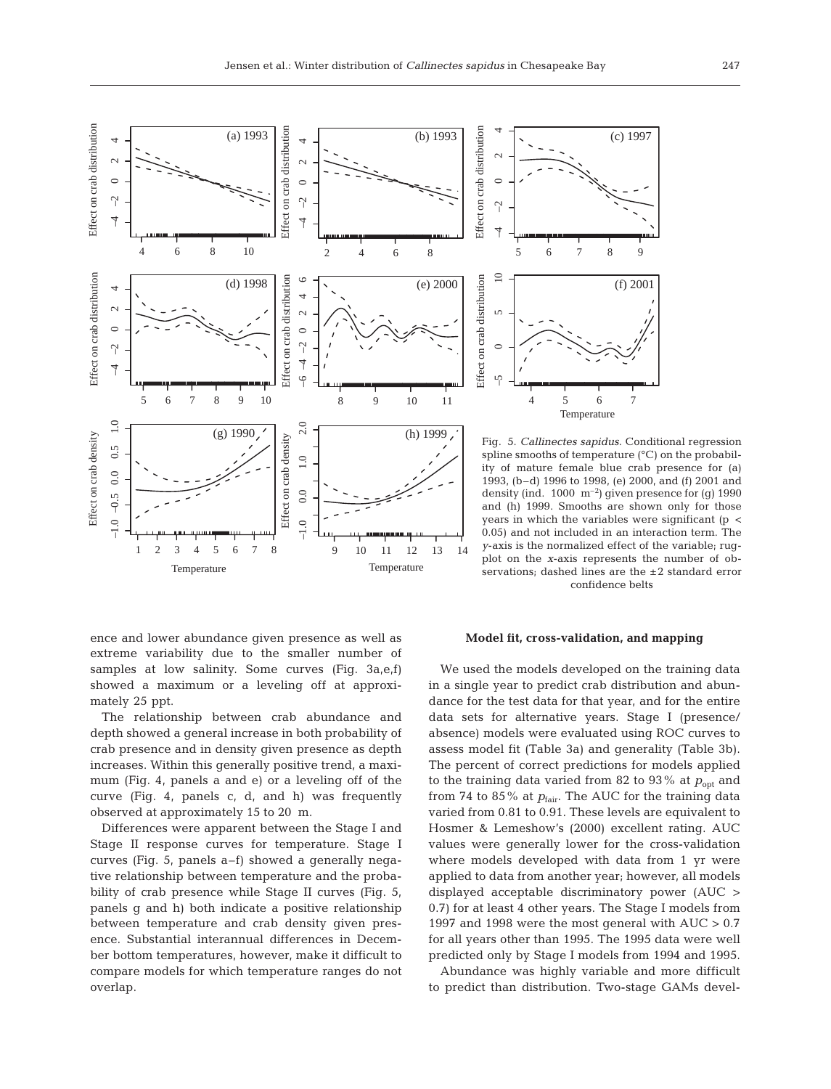

spline smooths of temperature (°C) on the probability of mature female blue crab presence for (a) 1993, (b–d) 1996 to 1998, (e) 2000, and (f) 2001 and density (ind.  $1000 \text{ m}^{-2}$ ) given presence for (g) 1990 and (h) 1999. Smooths are shown only for those years in which the variables were significant  $(p \lt p)$ 0.05) and not included in an interaction term. The *y*-axis is the normalized effect of the variable; rugplot on the *x*-axis represents the number of observations; dashed lines are the ±2 standard error confidence belts

ence and lower abundance given presence as well as extreme variability due to the smaller number of samples at low salinity. Some curves (Fig. 3a,e,f) showed a maximum or a leveling off at approximately 25 ppt.

The relationship between crab abundance and depth showed a general increase in both probability of crab presence and in density given presence as depth increases. Within this generally positive trend, a maximum (Fig. 4, panels a and e) or a leveling off of the curve (Fig. 4, panels c, d, and h) was frequently observed at approximately 15 to 20 m.

Differences were apparent between the Stage I and Stage II response curves for temperature. Stage I curves (Fig. 5, panels a–f) showed a generally negative relationship between temperature and the probability of crab presence while Stage II curves (Fig. 5, panels g and h) both indicate a positive relationship between temperature and crab density given presence. Substantial interannual differences in December bottom temperatures, however, make it difficult to compare models for which temperature ranges do not overlap.

## **Model fit, cross-validation, and mapping**

We used the models developed on the training data in a single year to predict crab distribution and abundance for the test data for that year, and for the entire data sets for alternative years. Stage I (presence/ absence) models were evaluated using ROC curves to assess model fit (Table 3a) and generality (Table 3b). The percent of correct predictions for models applied to the training data varied from 82 to 93% at  $p_{opt}$  and from 74 to 85% at  $p_{fair}$ . The AUC for the training data varied from 0.81 to 0.91. These levels are equivalent to Hosmer & Lemeshow's (2000) excellent rating. AUC values were generally lower for the cross-validation where models developed with data from 1 yr were applied to data from another year; however, all models displayed acceptable discriminatory power (AUC > 0.7) for at least 4 other years. The Stage I models from 1997 and 1998 were the most general with AUC > 0.7 for all years other than 1995. The 1995 data were well predicted only by Stage I models from 1994 and 1995.

Abundance was highly variable and more difficult to predict than distribution. Two-stage GAMs devel-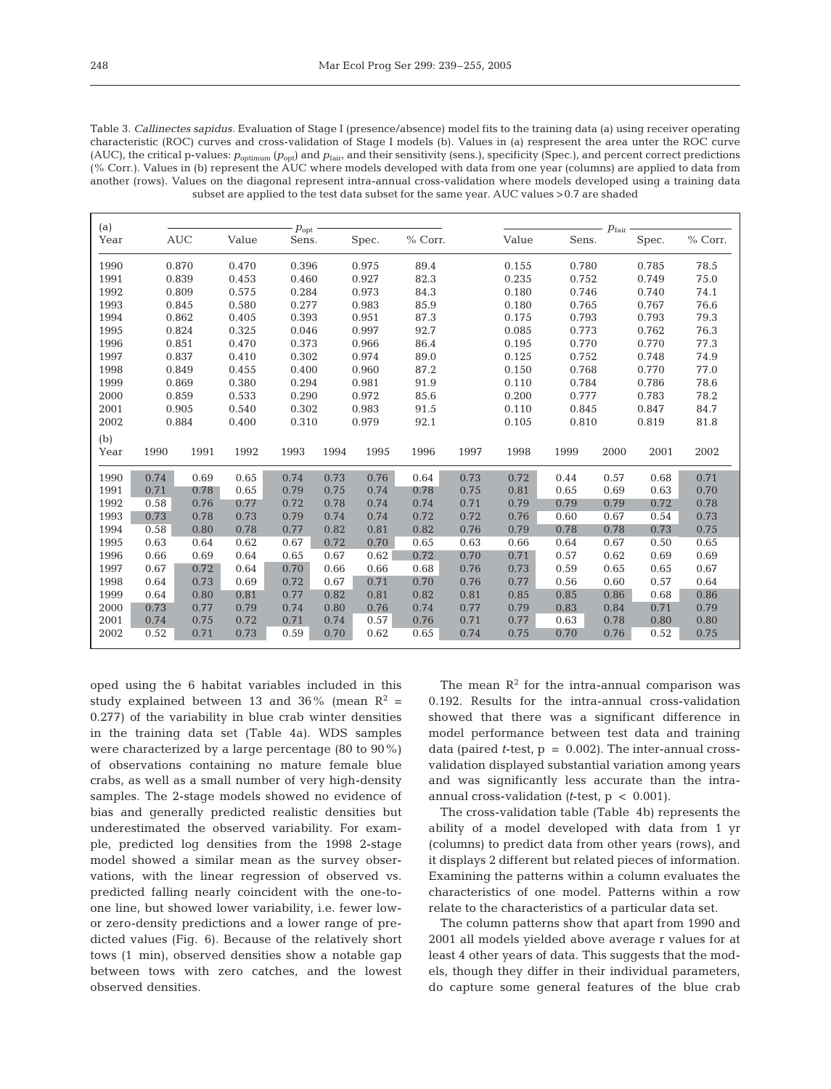| Table 3. Callinectes sapidus. Evaluation of Stage I (presence/absence) model fits to the training data (a) using receiver operating                                            |
|--------------------------------------------------------------------------------------------------------------------------------------------------------------------------------|
| characteristic (ROC) curves and cross-validation of Stage I models (b). Values in (a) respresent the area unter the ROC curve                                                  |
| (AUC), the critical p-values: $p_{\text{continuum}}(p_{\text{out}})$ and $p_{\text{fair}}$ and their sensitivity (sens.), specificity (Spec.), and percent correct predictions |
| (% Corr.). Values in (b) represent the AUC where models developed with data from one year (columns) are applied to data from                                                   |
| another (rows). Values on the diagonal represent intra-annual cross-validation where models developed using a training data                                                    |
| subset are applied to the test data subset for the same year. AUC values > 0.7 are shaded                                                                                      |

| (a)  |      |            |       | $p_{\rm opt}$ |      |       |         |      |                |       | $p_{\rm fair}$ |       |         |
|------|------|------------|-------|---------------|------|-------|---------|------|----------------|-------|----------------|-------|---------|
| Year |      | <b>AUC</b> | Value | Sens.         |      | Spec. | % Corr. |      | Value          | Sens. |                | Spec. | % Corr. |
| 1990 |      | 0.870      | 0.470 | 0.396         |      | 0.975 | 89.4    |      | 0.155          | 0.780 |                | 0.785 | 78.5    |
| 1991 |      | 0.839      | 0.453 | 0.460         |      | 0.927 | 82.3    |      | 0.235          | 0.752 |                | 0.749 | 75.0    |
| 1992 |      | 0.809      | 0.575 | 0.284         |      | 0.973 | 84.3    |      | 0.180          | 0.746 |                | 0.740 | 74.1    |
| 1993 |      | 0.845      | 0.580 | 0.277         |      | 0.983 | 85.9    |      | 0.180          | 0.765 |                | 0.767 | 76.6    |
| 1994 |      | 0.862      | 0.405 | 0.393         |      | 0.951 | 87.3    |      | 0.175          | 0.793 |                | 0.793 | 79.3    |
| 1995 |      | 0.824      | 0.325 | 0.046         |      | 0.997 | 92.7    |      | 0.085          |       | 0.773          |       | 76.3    |
| 1996 |      | 0.851      | 0.470 | 0.373         |      | 0.966 | 86.4    |      | 0.195          | 0.770 |                | 0.770 | 77.3    |
| 1997 |      | 0.837      | 0.410 | 0.302         |      | 0.974 | 89.0    |      | 0.125          | 0.752 |                | 0.748 | 74.9    |
| 1998 |      | 0.849      | 0.455 | 0.400         |      | 0.960 | 87.2    |      | 0.150          | 0.768 |                | 0.770 | 77.0    |
| 1999 |      | 0.869      | 0.380 | 0.294         |      | 0.981 | 91.9    |      | 0.110          | 0.784 |                | 0.786 | 78.6    |
| 2000 |      | 0.859      | 0.533 | 0.290         |      | 0.972 | 85.6    |      | 0.200          | 0.777 |                | 0.783 | 78.2    |
| 2001 |      | 0.905      | 0.540 | 0.302         |      | 0.983 | 91.5    |      | 0.110<br>0.845 |       |                | 0.847 | 84.7    |
| 2002 |      | 0.884      | 0.400 | 0.310         |      | 0.979 | 92.1    |      | 0.105<br>0.810 |       |                | 0.819 | 81.8    |
| (b)  |      |            |       |               |      |       |         |      |                |       |                |       |         |
| Year | 1990 | 1991       | 1992  | 1993          | 1994 | 1995  | 1996    | 1997 | 1998           | 1999  | 2000           | 2001  | 2002    |
| 1990 | 0.74 | 0.69       | 0.65  | 0.74          | 0.73 | 0.76  | 0.64    | 0.73 | 0.72           | 0.44  | 0.57           | 0.68  | 0.71    |
| 1991 | 0.71 | 0.78       | 0.65  | 0.79          | 0.75 | 0.74  | 0.78    | 0.75 | 0.81           | 0.65  | 0.69           | 0.63  | 0.70    |
| 1992 | 0.58 | 0.76       | 0.77  | 0.72          | 0.78 | 0.74  | 0.74    | 0.71 | 0.79           | 0.79  | 0.79           | 0.72  | 0.78    |
| 1993 | 0.73 | 0.78       | 0.73  | 0.79          | 0.74 | 0.74  | 0.72    | 0.72 | 0.76           | 0.60  | 0.67           | 0.54  | 0.73    |
| 1994 | 0.58 | 0.80       | 0.78  | 0.77          | 0.82 | 0.81  | 0.82    | 0.76 | 0.79           | 0.78  | 0.78           | 0.73  | 0.75    |
| 1995 | 0.63 | 0.64       | 0.62  | 0.67          | 0.72 | 0.70  | 0.65    | 0.63 | 0.66           | 0.64  | 0.67           | 0.50  | 0.65    |
| 1996 | 0.66 | 0.69       | 0.64  | 0.65          | 0.67 | 0.62  | 0.72    | 0.70 | 0.71           | 0.57  | 0.62           | 0.69  | 0.69    |
| 1997 | 0.67 | 0.72       | 0.64  | 0.70          | 0.66 | 0.66  | 0.68    | 0.76 | 0.73           | 0.59  | 0.65           | 0.65  | 0.67    |
| 1998 | 0.64 | 0.73       | 0.69  | 0.72          | 0.67 | 0.71  | 0.70    | 0.76 | 0.77           | 0.56  | 0.60           | 0.57  | 0.64    |
| 1999 | 0.64 | 0.80       | 0.81  | 0.77          | 0.82 | 0.81  | 0.82    | 0.81 | 0.85           | 0.85  | 0.86           | 0.68  | 0.86    |
| 2000 | 0.73 | 0.77       | 0.79  | 0.74          | 0.80 | 0.76  | 0.74    | 0.77 | 0.79           | 0.83  | 0.84           | 0.71  | 0.79    |
| 2001 | 0.74 | 0.75       | 0.72  | 0.71          | 0.74 | 0.57  | 0.76    | 0.71 | 0.77           | 0.63  | 0.78           | 0.80  | 0.80    |
| 2002 | 0.52 | 0.71       | 0.73  | 0.59          | 0.70 | 0.62  | 0.65    | 0.74 | 0.75           | 0.70  | 0.76           | 0.52  | 0.75    |

oped using the 6 habitat variables included in this study explained between 13 and 36% (mean  $R^2$  = 0.277) of the variability in blue crab winter densities in the training data set (Table 4a). WDS samples were characterized by a large percentage (80 to 90%) of observations containing no mature female blue crabs, as well as a small number of very high-density samples. The 2-stage models showed no evidence of bias and generally predicted realistic densities but underestimated the observed variability. For example, predicted log densities from the 1998 2-stage model showed a similar mean as the survey observations, with the linear regression of observed vs. predicted falling nearly coincident with the one-toone line, but showed lower variability, i.e. fewer lowor zero-density predictions and a lower range of predicted values (Fig. 6). Because of the relatively short tows (1 min), observed densities show a notable gap between tows with zero catches, and the lowest observed densities.

The mean  $\mathbb{R}^2$  for the intra-annual comparison was 0.192. Results for the intra-annual cross-validation showed that there was a significant difference in model performance between test data and training data (paired  $t$ -test,  $p = 0.002$ ). The inter-annual crossvalidation displayed substantial variation among years and was significantly less accurate than the intraannual cross-validation  $(t$ -test,  $p < 0.001$ ).

The cross-validation table (Table 4b) represents the ability of a model developed with data from 1 yr (columns) to predict data from other years (rows), and it displays 2 different but related pieces of information. Examining the patterns within a column evaluates the characteristics of one model. Patterns within a row relate to the characteristics of a particular data set.

The column patterns show that apart from 1990 and 2001 all models yielded above average r values for at least 4 other years of data. This suggests that the models, though they differ in their individual parameters, do capture some general features of the blue crab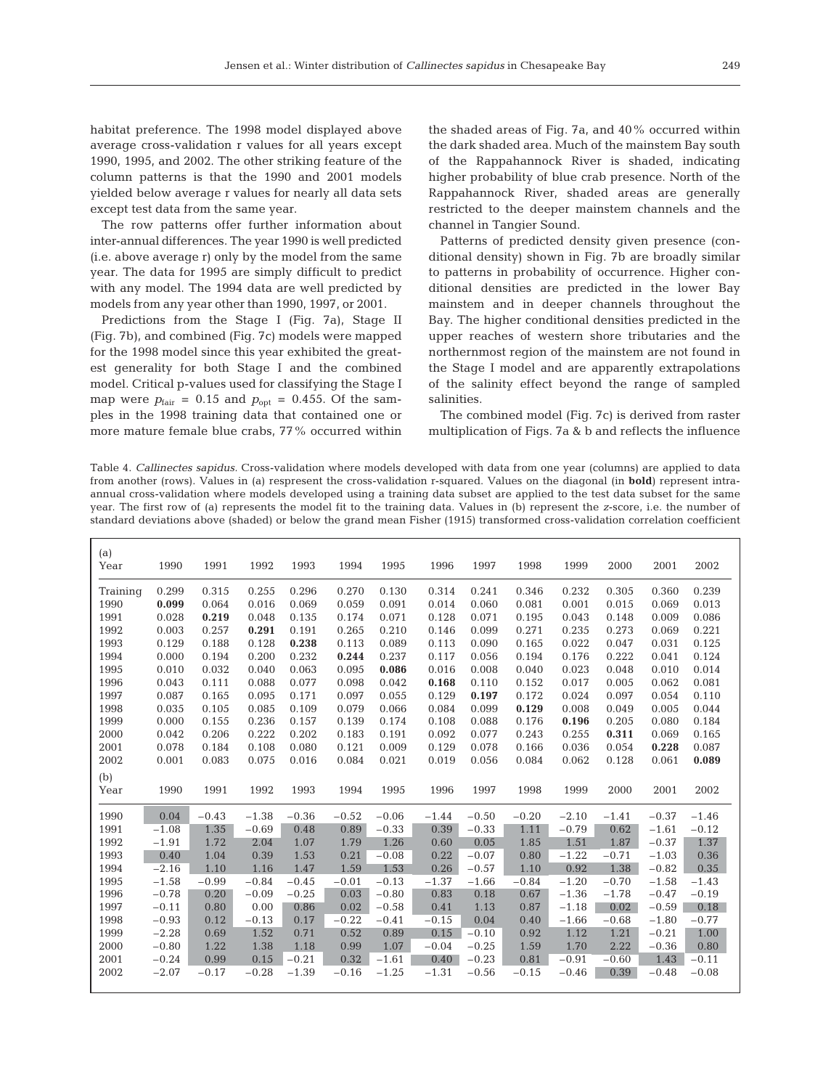habitat preference. The 1998 model displayed above average cross-validation r values for all years except 1990, 1995, and 2002. The other striking feature of the column patterns is that the 1990 and 2001 models yielded below average r values for nearly all data sets except test data from the same year.

The row patterns offer further information about inter-annual differences. The year 1990 is well predicted (i.e. above average r) only by the model from the same year. The data for 1995 are simply difficult to predict with any model. The 1994 data are well predicted by models from any year other than 1990, 1997, or 2001.

Predictions from the Stage I (Fig. 7a), Stage II (Fig. 7b), and combined (Fig. 7c) models were mapped for the 1998 model since this year exhibited the greatest generality for both Stage I and the combined model. Critical p-values used for classifying the Stage I map were  $p_{\text{fair}} = 0.15$  and  $p_{\text{opt}} = 0.455$ . Of the samples in the 1998 training data that contained one or more mature female blue crabs, 77% occurred within the shaded areas of Fig. 7a, and 40% occurred within the dark shaded area. Much of the mainstem Bay south of the Rappahannock River is shaded, indicating higher probability of blue crab presence. North of the Rappahannock River, shaded areas are generally restricted to the deeper mainstem channels and the channel in Tangier Sound.

Patterns of predicted density given presence (conditional density) shown in Fig. 7b are broadly similar to patterns in probability of occurrence. Higher conditional densities are predicted in the lower Bay mainstem and in deeper channels throughout the Bay. The higher conditional densities predicted in the upper reaches of western shore tributaries and the northernmost region of the mainstem are not found in the Stage I model and are apparently extrapolations of the salinity effect beyond the range of sampled salinities.

The combined model (Fig. 7c) is derived from raster multiplication of Figs. 7a & b and reflects the influence

Table 4. *Callinectes sapidus.* Cross-validation where models developed with data from one year (columns) are applied to data from another (rows). Values in (a) respresent the cross-validation r-squared. Values on the diagonal (in **bold**) represent intraannual cross-validation where models developed using a training data subset are applied to the test data subset for the same year. The first row of (a) represents the model fit to the training data. Values in (b) represent the *z*-score, i.e. the number of standard deviations above (shaded) or below the grand mean Fisher (1915) transformed cross-validation correlation coefficient

| (a)<br>Year | 1990    | 1991    | 1992    | 1993    | 1994    | 1995    | 1996    | 1997    | 1998    | 1999    | 2000    | 2001    | 2002    |
|-------------|---------|---------|---------|---------|---------|---------|---------|---------|---------|---------|---------|---------|---------|
| Training    | 0.299   | 0.315   | 0.255   | 0.296   | 0.270   | 0.130   | 0.314   | 0.241   | 0.346   | 0.232   | 0.305   | 0.360   | 0.239   |
| 1990        | 0.099   | 0.064   | 0.016   | 0.069   | 0.059   | 0.091   | 0.014   | 0.060   | 0.081   | 0.001   | 0.015   | 0.069   | 0.013   |
| 1991        | 0.028   | 0.219   | 0.048   | 0.135   | 0.174   | 0.071   | 0.128   | 0.071   | 0.195   | 0.043   | 0.148   | 0.009   | 0.086   |
| 1992        | 0.003   | 0.257   | 0.291   | 0.191   | 0.265   | 0.210   | 0.146   | 0.099   | 0.271   | 0.235   | 0.273   | 0.069   | 0.221   |
| 1993        | 0.129   | 0.188   | 0.128   | 0.238   | 0.113   | 0.089   | 0.113   | 0.090   | 0.165   | 0.022   | 0.047   | 0.031   | 0.125   |
| 1994        | 0.000   | 0.194   | 0.200   | 0.232   | 0.244   | 0.237   | 0.117   | 0.056   | 0.194   | 0.176   | 0.222   | 0.041   | 0.124   |
| 1995        | 0.010   | 0.032   | 0.040   | 0.063   | 0.095   | 0.086   | 0.016   | 0.008   | 0.040   | 0.023   | 0.048   | 0.010   | 0.014   |
| 1996        | 0.043   | 0.111   | 0.088   | 0.077   | 0.098   | 0.042   | 0.168   | 0.110   | 0.152   | 0.017   | 0.005   | 0.062   | 0.081   |
| 1997        | 0.087   | 0.165   | 0.095   | 0.171   | 0.097   | 0.055   | 0.129   | 0.197   | 0.172   | 0.024   | 0.097   | 0.054   | 0.110   |
| 1998        | 0.035   | 0.105   | 0.085   | 0.109   | 0.079   | 0.066   | 0.084   | 0.099   | 0.129   | 0.008   | 0.049   | 0.005   | 0.044   |
| 1999        | 0.000   | 0.155   | 0.236   | 0.157   | 0.139   | 0.174   | 0.108   | 0.088   | 0.176   | 0.196   | 0.205   | 0.080   | 0.184   |
| 2000        | 0.042   | 0.206   | 0.222   | 0.202   | 0.183   | 0.191   | 0.092   | 0.077   | 0.243   | 0.255   | 0.311   | 0.069   | 0.165   |
| 2001        | 0.078   | 0.184   | 0.108   | 0.080   | 0.121   | 0.009   | 0.129   | 0.078   | 0.166   | 0.036   | 0.054   | 0.228   | 0.087   |
| 2002        | 0.001   | 0.083   | 0.075   | 0.016   | 0.084   | 0.021   | 0.019   | 0.056   | 0.084   | 0.062   | 0.128   | 0.061   | 0.089   |
| (b)         |         |         |         |         |         |         |         |         |         |         |         |         |         |
| Year        | 1990    | 1991    | 1992    | 1993    | 1994    | 1995    | 1996    | 1997    | 1998    | 1999    | 2000    | 2001    | 2002    |
| 1990        | 0.04    | $-0.43$ | $-1.38$ | $-0.36$ | $-0.52$ | $-0.06$ | $-1.44$ | $-0.50$ | $-0.20$ | $-2.10$ | $-1.41$ | $-0.37$ | $-1.46$ |
| 1991        | $-1.08$ | 1.35    | $-0.69$ | 0.48    | 0.89    | $-0.33$ | 0.39    | $-0.33$ | 1.11    | $-0.79$ | 0.62    | $-1.61$ | $-0.12$ |
| 1992        | $-1.91$ | 1.72    | 2.04    | 1.07    | 1.79    | 1.26    | 0.60    | 0.05    | 1.85    | 1.51    | 1.87    | $-0.37$ | 1.37    |
| 1993        | 0.40    | 1.04    | 0.39    | 1.53    | 0.21    | $-0.08$ | 0.22    | $-0.07$ | 0.80    | $-1.22$ | $-0.71$ | $-1.03$ | 0.36    |
| 1994        | $-2.16$ | 1.10    | 1.16    | 1.47    | 1.59    | 1.53    | 0.26    | $-0.57$ | 1.10    | 0.92    | 1.38    | $-0.82$ | 0.35    |
| 1995        | $-1.58$ | $-0.99$ | $-0.84$ | $-0.45$ | $-0.01$ | $-0.13$ | $-1.37$ | $-1.66$ | $-0.84$ | $-1.20$ | $-0.70$ | $-1.58$ | $-1.43$ |
| 1996        | $-0.78$ | 0.20    | $-0.09$ | $-0.25$ | 0.03    | $-0.80$ | 0.83    | 0.18    | 0.67    | $-1.36$ | $-1.78$ | $-0.47$ | $-0.19$ |
| 1997        | $-0.11$ | 0.80    | 0.00    | 0.86    | 0.02    | $-0.58$ | 0.41    | 1.13    | 0.87    | $-1.18$ | 0.02    | $-0.59$ | 0.18    |
| 1998        | $-0.93$ | 0.12    | $-0.13$ | 0.17    | $-0.22$ | $-0.41$ | $-0.15$ | 0.04    | 0.40    | $-1.66$ | $-0.68$ | $-1.80$ | $-0.77$ |
| 1999        | $-2.28$ | 0.69    | 1.52    | 0.71    | 0.52    | 0.89    | 0.15    | $-0.10$ | 0.92    | 1.12    | 1.21    | $-0.21$ | 1.00    |
| 2000        | $-0.80$ | 1.22    | 1.38    | 1.18    | 0.99    | 1.07    | $-0.04$ | $-0.25$ | 1.59    | 1.70    | 2.22    | $-0.36$ | 0.80    |
| 2001        | $-0.24$ | 0.99    | 0.15    | $-0.21$ | 0.32    | $-1.61$ | 0.40    | $-0.23$ | 0.81    | $-0.91$ | $-0.60$ | 1.43    | $-0.11$ |
| 2002        | $-2.07$ | $-0.17$ | $-0.28$ | $-1.39$ | $-0.16$ | $-1.25$ | $-1.31$ | $-0.56$ | $-0.15$ | $-0.46$ | 0.39    | $-0.48$ | $-0.08$ |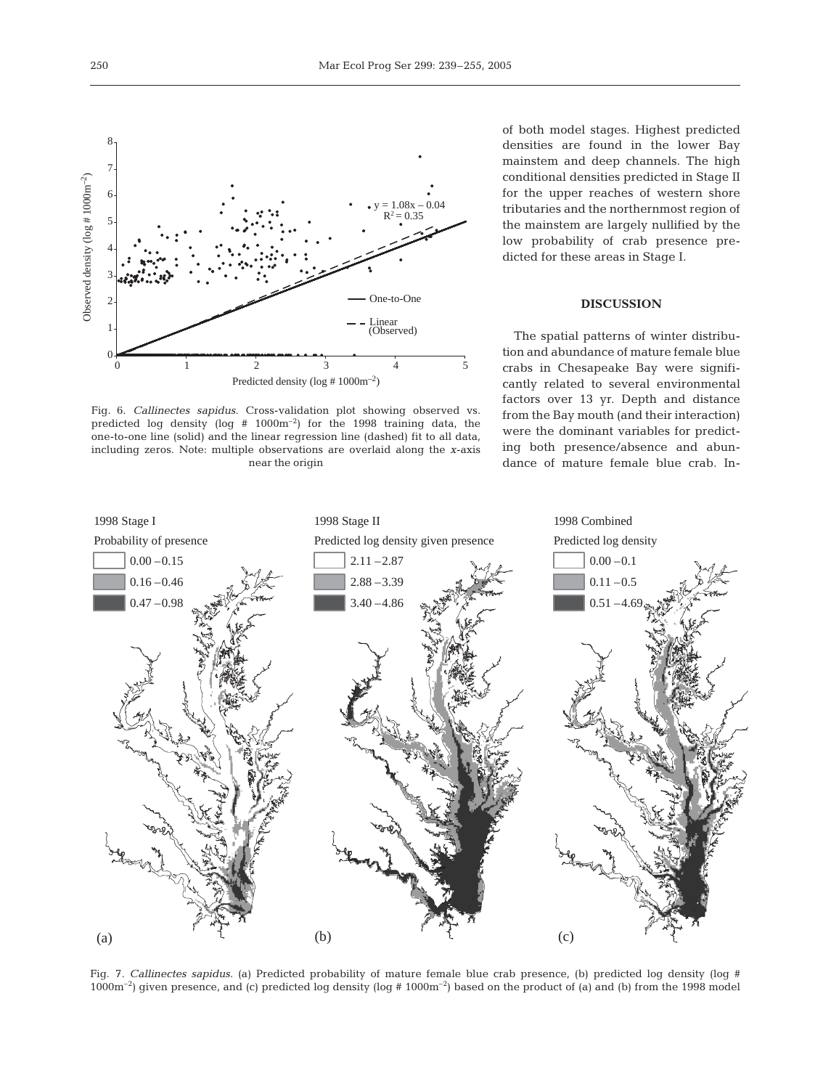

Fig. 6. *Callinectes sapidus*. Cross-validation plot showing observed vs. predicted log density (log  $# 1000m^{-2}$ ) for the 1998 training data, the one-to-one line (solid) and the linear regression line (dashed) fit to all data, including zeros. Note: multiple observations are overlaid along the *x*-axis near the origin

of both model stages. Highest predicted densities are found in the lower Bay mainstem and deep channels. The high conditional densities predicted in Stage II for the upper reaches of western shore tributaries and the northernmost region of the mainstem are largely nullified by the low probability of crab presence predicted for these areas in Stage I.

# **DISCUSSION**

The spatial patterns of winter distribution and abundance of mature female blue crabs in Chesapeake Bay were significantly related to several environmental factors over 13 yr. Depth and distance from the Bay mouth (and their interaction) were the dominant variables for predicting both presence/absence and abundance of mature female blue crab. In-



Fig. 7. *Callinectes sapidus*. (a) Predicted probability of mature female blue crab presence, (b) predicted log density (log #  $1000m^{-2}$ ) given presence, and (c) predicted log density (log #  $1000m^{-2}$ ) based on the product of (a) and (b) from the 1998 model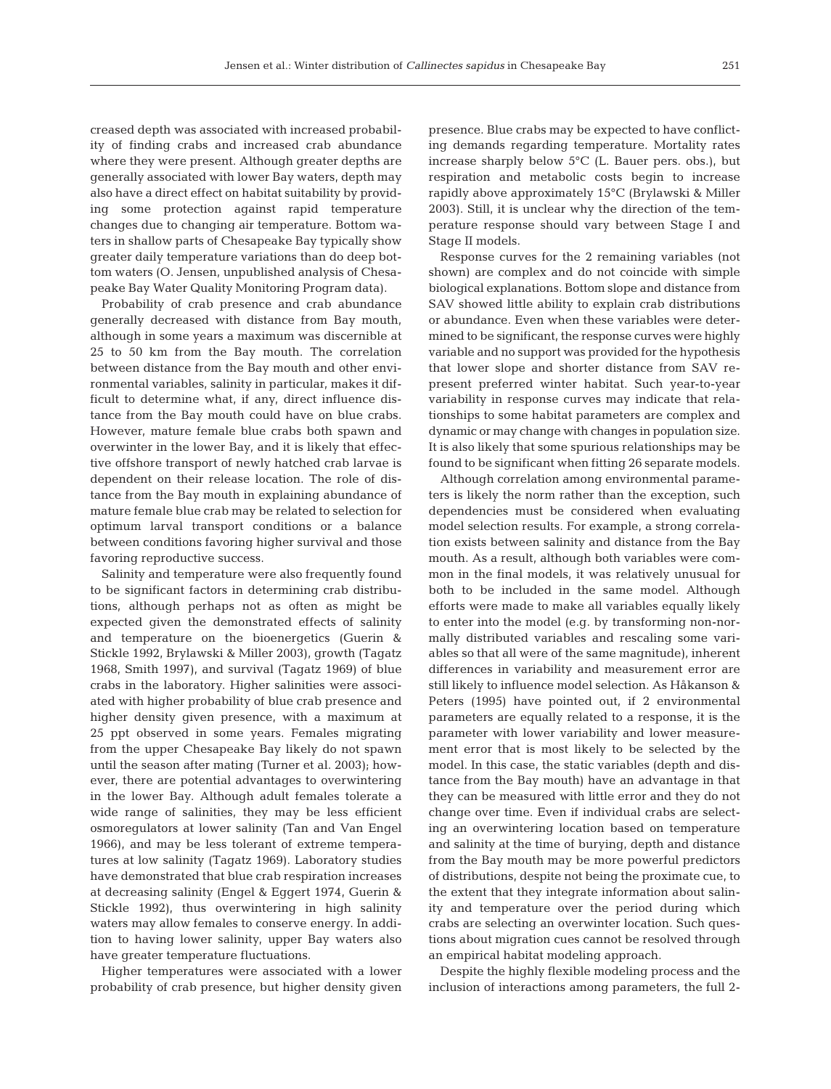creased depth was associated with increased probability of finding crabs and increased crab abundance where they were present. Although greater depths are generally associated with lower Bay waters, depth may also have a direct effect on habitat suitability by providing some protection against rapid temperature changes due to changing air temperature. Bottom waters in shallow parts of Chesapeake Bay typically show greater daily temperature variations than do deep bottom waters (O. Jensen, unpublished analysis of Chesapeake Bay Water Quality Monitoring Program data).

Probability of crab presence and crab abundance generally decreased with distance from Bay mouth, although in some years a maximum was discernible at 25 to 50 km from the Bay mouth. The correlation between distance from the Bay mouth and other environmental variables, salinity in particular, makes it difficult to determine what, if any, direct influence distance from the Bay mouth could have on blue crabs. However, mature female blue crabs both spawn and overwinter in the lower Bay, and it is likely that effective offshore transport of newly hatched crab larvae is dependent on their release location. The role of distance from the Bay mouth in explaining abundance of mature female blue crab may be related to selection for optimum larval transport conditions or a balance between conditions favoring higher survival and those favoring reproductive success.

Salinity and temperature were also frequently found to be significant factors in determining crab distributions, although perhaps not as often as might be expected given the demonstrated effects of salinity and temperature on the bioenergetics (Guerin & Stickle 1992, Brylawski & Miller 2003), growth (Tagatz 1968, Smith 1997), and survival (Tagatz 1969) of blue crabs in the laboratory. Higher salinities were associated with higher probability of blue crab presence and higher density given presence, with a maximum at 25 ppt observed in some years. Females migrating from the upper Chesapeake Bay likely do not spawn until the season after mating (Turner et al. 2003); however, there are potential advantages to overwintering in the lower Bay. Although adult females tolerate a wide range of salinities, they may be less efficient osmoregulators at lower salinity (Tan and Van Engel 1966), and may be less tolerant of extreme temperatures at low salinity (Tagatz 1969). Laboratory studies have demonstrated that blue crab respiration increases at decreasing salinity (Engel & Eggert 1974, Guerin & Stickle 1992), thus overwintering in high salinity waters may allow females to conserve energy. In addition to having lower salinity, upper Bay waters also have greater temperature fluctuations.

Higher temperatures were associated with a lower probability of crab presence, but higher density given presence. Blue crabs may be expected to have conflicting demands regarding temperature. Mortality rates increase sharply below 5°C (L. Bauer pers. obs.), but respiration and metabolic costs begin to increase rapidly above approximately 15°C (Brylawski & Miller 2003). Still, it is unclear why the direction of the temperature response should vary between Stage I and Stage II models.

Response curves for the 2 remaining variables (not shown) are complex and do not coincide with simple biological explanations. Bottom slope and distance from SAV showed little ability to explain crab distributions or abundance. Even when these variables were determined to be significant, the response curves were highly variable and no support was provided for the hypothesis that lower slope and shorter distance from SAV represent preferred winter habitat. Such year-to-year variability in response curves may indicate that relationships to some habitat parameters are complex and dynamic or may change with changes in population size. It is also likely that some spurious relationships may be found to be significant when fitting 26 separate models.

Although correlation among environmental parameters is likely the norm rather than the exception, such dependencies must be considered when evaluating model selection results. For example, a strong correlation exists between salinity and distance from the Bay mouth. As a result, although both variables were common in the final models, it was relatively unusual for both to be included in the same model. Although efforts were made to make all variables equally likely to enter into the model (e.g. by transforming non-normally distributed variables and rescaling some variables so that all were of the same magnitude), inherent differences in variability and measurement error are still likely to influence model selection. As Håkanson & Peters (1995) have pointed out, if 2 environmental parameters are equally related to a response, it is the parameter with lower variability and lower measurement error that is most likely to be selected by the model. In this case, the static variables (depth and distance from the Bay mouth) have an advantage in that they can be measured with little error and they do not change over time. Even if individual crabs are selecting an overwintering location based on temperature and salinity at the time of burying, depth and distance from the Bay mouth may be more powerful predictors of distributions, despite not being the proximate cue, to the extent that they integrate information about salinity and temperature over the period during which crabs are selecting an overwinter location. Such questions about migration cues cannot be resolved through an empirical habitat modeling approach.

Despite the highly flexible modeling process and the inclusion of interactions among parameters, the full 2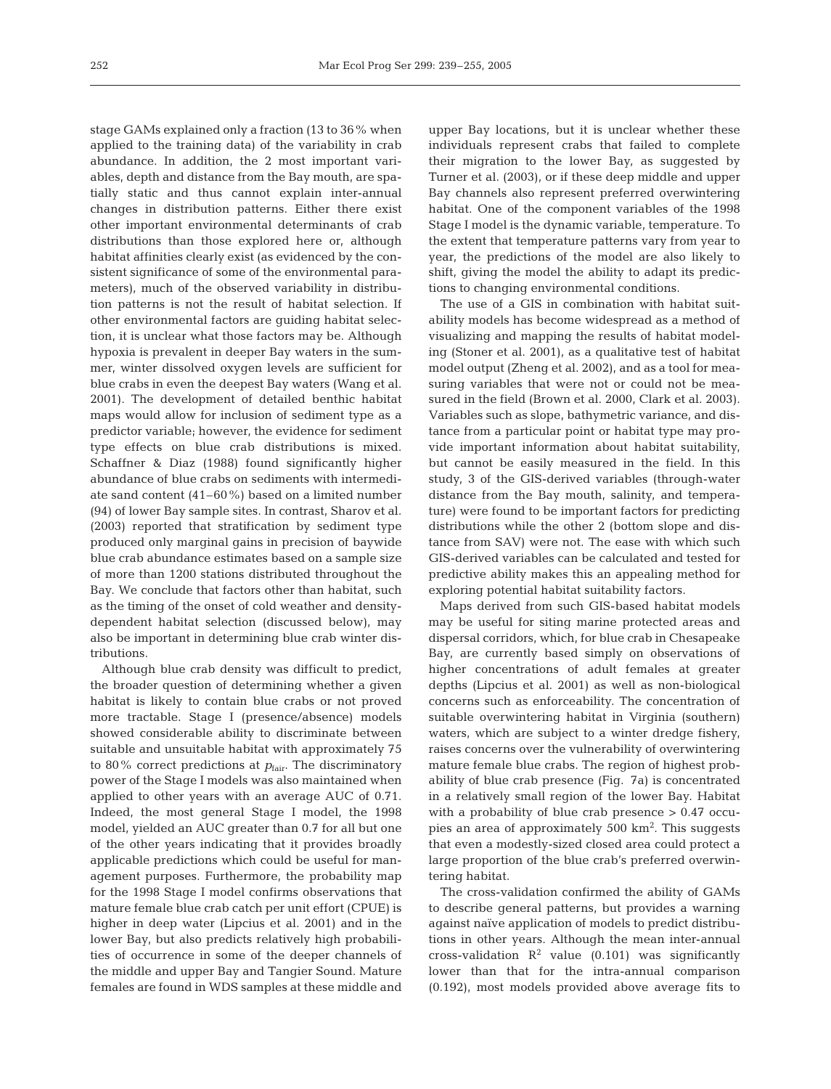stage GAMs explained only a fraction (13 to 36% when applied to the training data) of the variability in crab abundance. In addition, the 2 most important variables, depth and distance from the Bay mouth, are spatially static and thus cannot explain inter-annual changes in distribution patterns. Either there exist other important environmental determinants of crab distributions than those explored here or, although habitat affinities clearly exist (as evidenced by the consistent significance of some of the environmental parameters), much of the observed variability in distribution patterns is not the result of habitat selection. If other environmental factors are guiding habitat selection, it is unclear what those factors may be. Although hypoxia is prevalent in deeper Bay waters in the summer, winter dissolved oxygen levels are sufficient for blue crabs in even the deepest Bay waters (Wang et al. 2001). The development of detailed benthic habitat maps would allow for inclusion of sediment type as a predictor variable; however, the evidence for sediment type effects on blue crab distributions is mixed. Schaffner & Diaz (1988) found significantly higher abundance of blue crabs on sediments with intermediate sand content (41–60%) based on a limited number (94) of lower Bay sample sites. In contrast, Sharov et al. (2003) reported that stratification by sediment type produced only marginal gains in precision of baywide blue crab abundance estimates based on a sample size of more than 1200 stations distributed throughout the Bay. We conclude that factors other than habitat, such as the timing of the onset of cold weather and densitydependent habitat selection (discussed below), may also be important in determining blue crab winter distributions.

Although blue crab density was difficult to predict, the broader question of determining whether a given habitat is likely to contain blue crabs or not proved more tractable. Stage I (presence/absence) models showed considerable ability to discriminate between suitable and unsuitable habitat with approximately 75 to 80% correct predictions at  $p_{\text{fair}}$ . The discriminatory power of the Stage I models was also maintained when applied to other years with an average AUC of 0.71. Indeed, the most general Stage I model, the 1998 model, yielded an AUC greater than 0.7 for all but one of the other years indicating that it provides broadly applicable predictions which could be useful for management purposes. Furthermore, the probability map for the 1998 Stage I model confirms observations that mature female blue crab catch per unit effort (CPUE) is higher in deep water (Lipcius et al. 2001) and in the lower Bay, but also predicts relatively high probabilities of occurrence in some of the deeper channels of the middle and upper Bay and Tangier Sound. Mature females are found in WDS samples at these middle and

upper Bay locations, but it is unclear whether these individuals represent crabs that failed to complete their migration to the lower Bay, as suggested by Turner et al. (2003), or if these deep middle and upper Bay channels also represent preferred overwintering habitat. One of the component variables of the 1998 Stage I model is the dynamic variable, temperature. To the extent that temperature patterns vary from year to year, the predictions of the model are also likely to shift, giving the model the ability to adapt its predictions to changing environmental conditions.

The use of a GIS in combination with habitat suitability models has become widespread as a method of visualizing and mapping the results of habitat modeling (Stoner et al. 2001), as a qualitative test of habitat model output (Zheng et al. 2002), and as a tool for measuring variables that were not or could not be measured in the field (Brown et al. 2000, Clark et al. 2003). Variables such as slope, bathymetric variance, and distance from a particular point or habitat type may provide important information about habitat suitability, but cannot be easily measured in the field. In this study, 3 of the GIS-derived variables (through-water distance from the Bay mouth, salinity, and temperature) were found to be important factors for predicting distributions while the other 2 (bottom slope and distance from SAV) were not. The ease with which such GIS-derived variables can be calculated and tested for predictive ability makes this an appealing method for exploring potential habitat suitability factors.

Maps derived from such GIS-based habitat models may be useful for siting marine protected areas and dispersal corridors, which, for blue crab in Chesapeake Bay, are currently based simply on observations of higher concentrations of adult females at greater depths (Lipcius et al. 2001) as well as non-biological concerns such as enforceability. The concentration of suitable overwintering habitat in Virginia (southern) waters, which are subject to a winter dredge fishery, raises concerns over the vulnerability of overwintering mature female blue crabs. The region of highest probability of blue crab presence (Fig. 7a) is concentrated in a relatively small region of the lower Bay. Habitat with a probability of blue crab presence > 0.47 occupies an area of approximately 500 km<sup>2</sup>. This suggests that even a modestly-sized closed area could protect a large proportion of the blue crab's preferred overwintering habitat.

The cross-validation confirmed the ability of GAMs to describe general patterns, but provides a warning against naïve application of models to predict distributions in other years. Although the mean inter-annual cross-validation  $R^2$  value (0.101) was significantly lower than that for the intra-annual comparison (0.192), most models provided above average fits to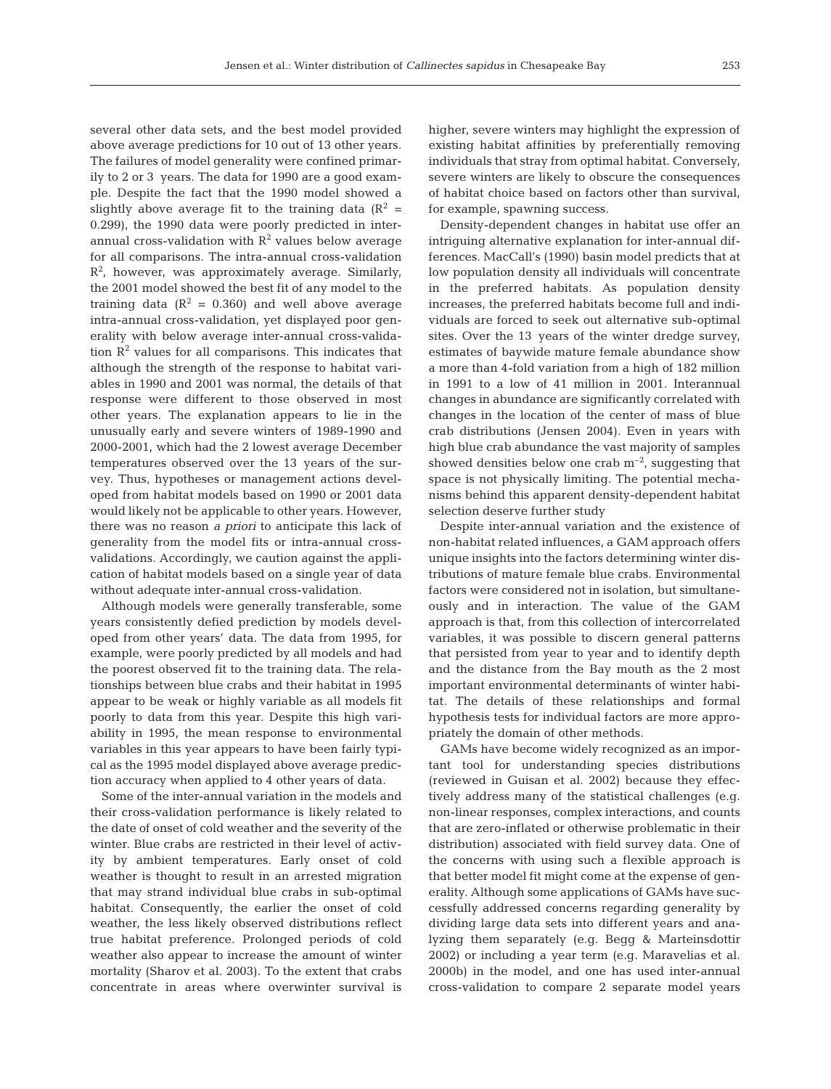several other data sets, and the best model provided above average predictions for 10 out of 13 other years. The failures of model generality were confined primarily to 2 or 3 years. The data for 1990 are a good example. Despite the fact that the 1990 model showed a slightly above average fit to the training data  $(R^2 =$ 0.299), the 1990 data were poorly predicted in interannual cross-validation with  $R^2$  values below average for all comparisons. The intra-annual cross-validation  $R<sup>2</sup>$ , however, was approximately average. Similarly, the 2001 model showed the best fit of any model to the training data ( $R^2 = 0.360$ ) and well above average intra-annual cross-validation, yet displayed poor generality with below average inter-annual cross-validation  $\mathbb{R}^2$  values for all comparisons. This indicates that although the strength of the response to habitat variables in 1990 and 2001 was normal, the details of that response were different to those observed in most other years. The explanation appears to lie in the unusually early and severe winters of 1989-1990 and 2000-2001, which had the 2 lowest average December temperatures observed over the 13 years of the survey. Thus, hypotheses or management actions developed from habitat models based on 1990 or 2001 data would likely not be applicable to other years. However, there was no reason *a priori* to anticipate this lack of generality from the model fits or intra-annual crossvalidations. Accordingly, we caution against the application of habitat models based on a single year of data without adequate inter-annual cross-validation.

Although models were generally transferable, some years consistently defied prediction by models developed from other years' data. The data from 1995, for example, were poorly predicted by all models and had the poorest observed fit to the training data. The relationships between blue crabs and their habitat in 1995 appear to be weak or highly variable as all models fit poorly to data from this year. Despite this high variability in 1995, the mean response to environmental variables in this year appears to have been fairly typical as the 1995 model displayed above average prediction accuracy when applied to 4 other years of data.

Some of the inter-annual variation in the models and their cross-validation performance is likely related to the date of onset of cold weather and the severity of the winter. Blue crabs are restricted in their level of activity by ambient temperatures. Early onset of cold weather is thought to result in an arrested migration that may strand individual blue crabs in sub-optimal habitat. Consequently, the earlier the onset of cold weather, the less likely observed distributions reflect true habitat preference. Prolonged periods of cold weather also appear to increase the amount of winter mortality (Sharov et al. 2003). To the extent that crabs concentrate in areas where overwinter survival is

higher, severe winters may highlight the expression of existing habitat affinities by preferentially removing individuals that stray from optimal habitat. Conversely, severe winters are likely to obscure the consequences of habitat choice based on factors other than survival, for example, spawning success.

Density-dependent changes in habitat use offer an intriguing alternative explanation for inter-annual differences. MacCall's (1990) basin model predicts that at low population density all individuals will concentrate in the preferred habitats. As population density increases, the preferred habitats become full and individuals are forced to seek out alternative sub-optimal sites. Over the 13 years of the winter dredge survey, estimates of baywide mature female abundance show a more than 4-fold variation from a high of 182 million in 1991 to a low of 41 million in 2001. Interannual changes in abundance are significantly correlated with changes in the location of the center of mass of blue crab distributions (Jensen 2004). Even in years with high blue crab abundance the vast majority of samples showed densities below one crab  $m^{-2}$ , suggesting that space is not physically limiting. The potential mechanisms behind this apparent density-dependent habitat selection deserve further study

Despite inter-annual variation and the existence of non-habitat related influences, a GAM approach offers unique insights into the factors determining winter distributions of mature female blue crabs. Environmental factors were considered not in isolation, but simultaneously and in interaction. The value of the GAM approach is that, from this collection of intercorrelated variables, it was possible to discern general patterns that persisted from year to year and to identify depth and the distance from the Bay mouth as the 2 most important environmental determinants of winter habitat. The details of these relationships and formal hypothesis tests for individual factors are more appropriately the domain of other methods.

GAMs have become widely recognized as an important tool for understanding species distributions (reviewed in Guisan et al. 2002) because they effectively address many of the statistical challenges (e.g. non-linear responses, complex interactions, and counts that are zero-inflated or otherwise problematic in their distribution) associated with field survey data. One of the concerns with using such a flexible approach is that better model fit might come at the expense of generality. Although some applications of GAMs have successfully addressed concerns regarding generality by dividing large data sets into different years and analyzing them separately (e.g. Begg & Marteinsdottir 2002) or including a year term (e.g. Maravelias et al. 2000b) in the model, and one has used inter-annual cross-validation to compare 2 separate model years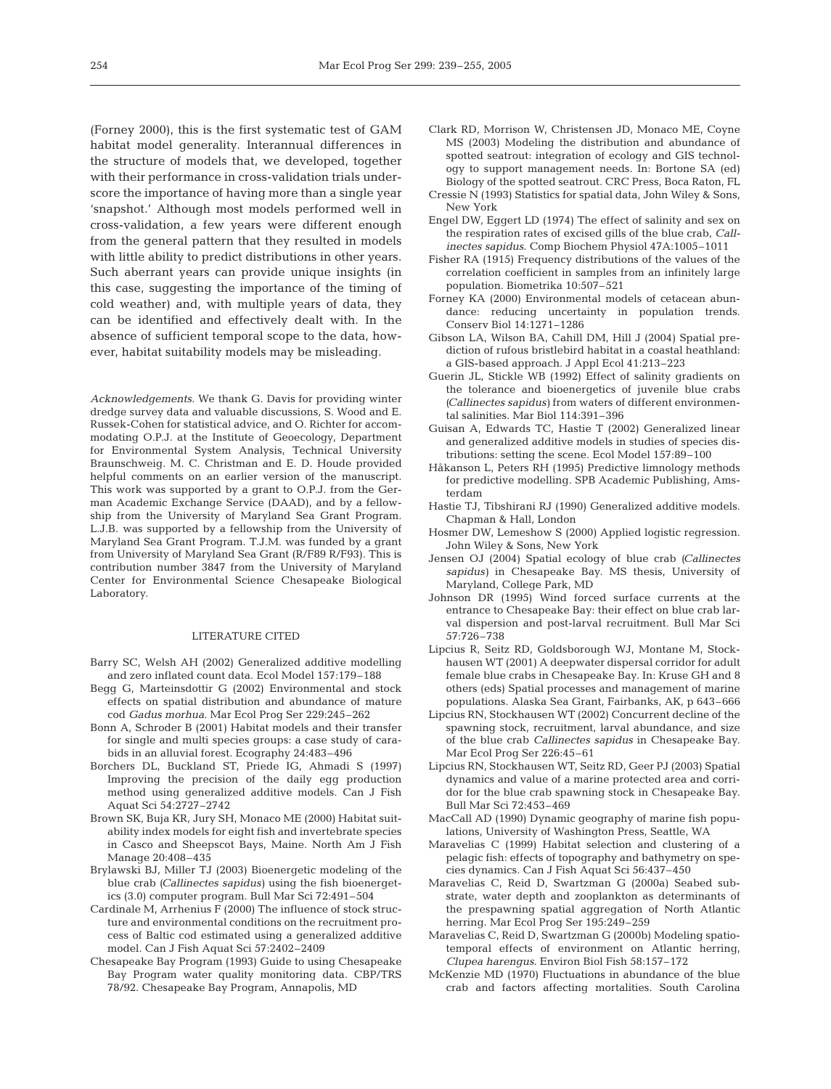(Forney 2000), this is the first systematic test of GAM habitat model generality. Interannual differences in the structure of models that, we developed, together with their performance in cross-validation trials underscore the importance of having more than a single year 'snapshot.' Although most models performed well in cross-validation, a few years were different enough from the general pattern that they resulted in models with little ability to predict distributions in other years. Such aberrant years can provide unique insights (in this case, suggesting the importance of the timing of cold weather) and, with multiple years of data, they can be identified and effectively dealt with. In the absence of sufficient temporal scope to the data, however, habitat suitability models may be misleading.

*Acknowledgements.* We thank G. Davis for providing winter dredge survey data and valuable discussions, S. Wood and E. Russek-Cohen for statistical advice, and O. Richter for accommodating O.P.J. at the Institute of Geoecology, Department for Environmental System Analysis, Technical University Braunschweig. M. C. Christman and E. D. Houde provided helpful comments on an earlier version of the manuscript. This work was supported by a grant to O.P.J. from the German Academic Exchange Service (DAAD), and by a fellowship from the University of Maryland Sea Grant Program. L.J.B. was supported by a fellowship from the University of Maryland Sea Grant Program. T.J.M. was funded by a grant from University of Maryland Sea Grant (R/F89 R/F93). This is contribution number 3847 from the University of Maryland Center for Environmental Science Chesapeake Biological Laboratory.

## LITERATURE CITED

- Barry SC, Welsh AH (2002) Generalized additive modelling and zero inflated count data. Ecol Model 157:179–188
- Begg G, Marteinsdottir G (2002) Environmental and stock effects on spatial distribution and abundance of mature cod *Gadus morhua*. Mar Ecol Prog Ser 229:245–262
- Bonn A, Schroder B (2001) Habitat models and their transfer for single and multi species groups: a case study of carabids in an alluvial forest. Ecography 24:483–496
- Borchers DL, Buckland ST, Priede IG, Ahmadi S (1997) Improving the precision of the daily egg production method using generalized additive models. Can J Fish Aquat Sci 54:2727–2742
- Brown SK, Buja KR, Jury SH, Monaco ME (2000) Habitat suitability index models for eight fish and invertebrate species in Casco and Sheepscot Bays, Maine. North Am J Fish Manage 20:408–435
- Brylawski BJ, Miller TJ (2003) Bioenergetic modeling of the blue crab *(Callinectes sapidus)* using the fish bioenergetics (3.0) computer program. Bull Mar Sci 72:491–504
- Cardinale M, Arrhenius F (2000) The influence of stock structure and environmental conditions on the recruitment process of Baltic cod estimated using a generalized additive model. Can J Fish Aquat Sci 57:2402–2409
- Chesapeake Bay Program (1993) Guide to using Chesapeake Bay Program water quality monitoring data. CBP/TRS 78/92. Chesapeake Bay Program, Annapolis, MD
- Clark RD, Morrison W, Christensen JD, Monaco ME, Coyne MS (2003) Modeling the distribution and abundance of spotted seatrout: integration of ecology and GIS technology to support management needs. In: Bortone SA (ed) Biology of the spotted seatrout. CRC Press, Boca Raton, FL
- Cressie N (1993) Statistics for spatial data, John Wiley & Sons, New York
- Engel DW, Eggert LD (1974) The effect of salinity and sex on the respiration rates of excised gills of the blue crab, *Callinectes sapidus*. Comp Biochem Physiol 47A:1005–1011
- Fisher RA (1915) Frequency distributions of the values of the correlation coefficient in samples from an infinitely large population. Biometrika 10:507–521
- Forney KA (2000) Environmental models of cetacean abundance: reducing uncertainty in population trends. Conserv Biol 14:1271–1286
- Gibson LA, Wilson BA, Cahill DM, Hill J (2004) Spatial prediction of rufous bristlebird habitat in a coastal heathland: a GIS-based approach. J Appl Ecol 41:213–223
- Guerin JL, Stickle WB (1992) Effect of salinity gradients on the tolerance and bioenergetics of juvenile blue crabs *(Callinectes sapidus)* from waters of different environmental salinities. Mar Biol 114:391–396
- Guisan A, Edwards TC, Hastie T (2002) Generalized linear and generalized additive models in studies of species distributions: setting the scene. Ecol Model 157:89–100
- Håkanson L, Peters RH (1995) Predictive limnology methods for predictive modelling. SPB Academic Publishing, Amsterdam
- Hastie TJ, Tibshirani RJ (1990) Generalized additive models. Chapman & Hall, London
- Hosmer DW, Lemeshow S (2000) Applied logistic regression. John Wiley & Sons, New York
- Jensen OJ (2004) Spatial ecology of blue crab *(Callinectes sapidus)* in Chesapeake Bay. MS thesis, University of Maryland, College Park, MD
- Johnson DR (1995) Wind forced surface currents at the entrance to Chesapeake Bay: their effect on blue crab larval dispersion and post-larval recruitment. Bull Mar Sci 57:726–738
- Lipcius R, Seitz RD, Goldsborough WJ, Montane M, Stockhausen WT (2001) A deepwater dispersal corridor for adult female blue crabs in Chesapeake Bay. In: Kruse GH and 8 others (eds) Spatial processes and management of marine populations. Alaska Sea Grant, Fairbanks, AK, p 643–666
- Lipcius RN, Stockhausen WT (2002) Concurrent decline of the spawning stock, recruitment, larval abundance, and size of the blue crab *Callinectes sapidus* in Chesapeake Bay. Mar Ecol Prog Ser 226:45–61
- Lipcius RN, Stockhausen WT, Seitz RD, Geer PJ (2003) Spatial dynamics and value of a marine protected area and corridor for the blue crab spawning stock in Chesapeake Bay. Bull Mar Sci 72:453–469
- MacCall AD (1990) Dynamic geography of marine fish populations, University of Washington Press, Seattle, WA
- Maravelias C (1999) Habitat selection and clustering of a pelagic fish: effects of topography and bathymetry on species dynamics. Can J Fish Aquat Sci 56:437–450
- Maravelias C, Reid D, Swartzman G (2000a) Seabed substrate, water depth and zooplankton as determinants of the prespawning spatial aggregation of North Atlantic herring. Mar Ecol Prog Ser 195:249–259
- Maravelias C, Reid D, Swartzman G (2000b) Modeling spatiotemporal effects of environment on Atlantic herring, *Clupea harengus*. Environ Biol Fish 58:157–172
- McKenzie MD (1970) Fluctuations in abundance of the blue crab and factors affecting mortalities. South Carolina